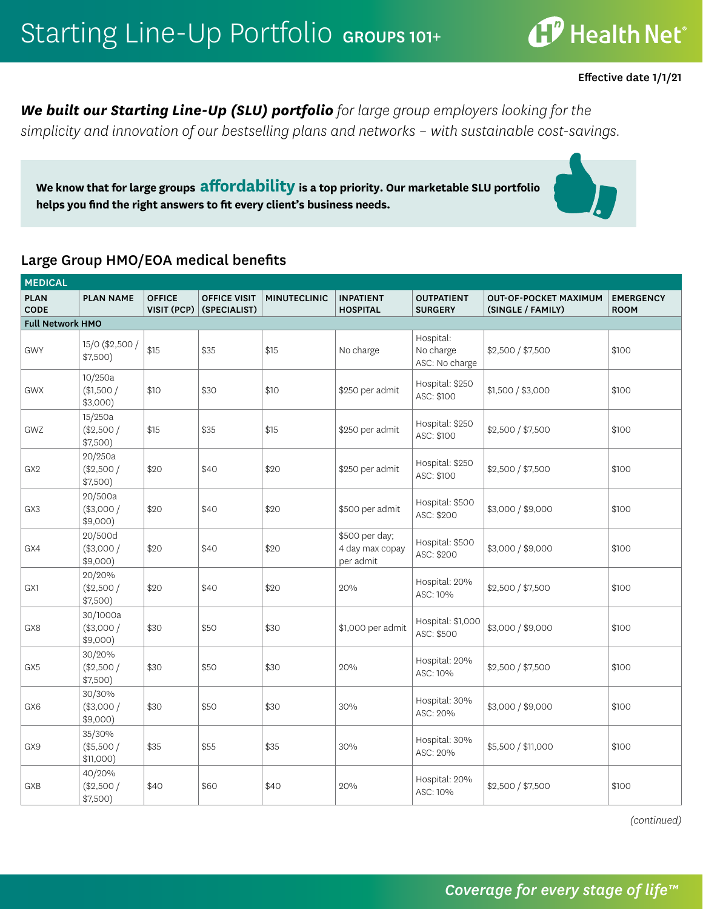**CP** Health Net®

Effective date 1/1/21

*We built our Starting Line-Up (SLU) portfolio for large group employers looking for the simplicity and innovation of our bestselling plans and networks – with sustainable cost-savings.* 

**We know that for large groups affordability is a top priority. Our marketable SLU portfolio helps you find the right answers to fit every client's business needs.** 

#### Large Group HMO/EOA medical benefits

| <b>MEDICAL</b>          |                                     |                              |                                     |                     |                                                |                                          |                                                   |                                 |  |  |
|-------------------------|-------------------------------------|------------------------------|-------------------------------------|---------------------|------------------------------------------------|------------------------------------------|---------------------------------------------------|---------------------------------|--|--|
| <b>PLAN</b><br>CODE     | <b>PLAN NAME</b>                    | <b>OFFICE</b><br>VISIT (PCP) | <b>OFFICE VISIT</b><br>(SPECIALIST) | <b>MINUTECLINIC</b> | <b>INPATIENT</b><br><b>HOSPITAL</b>            | <b>OUTPATIENT</b><br><b>SURGERY</b>      | <b>OUT-OF-POCKET MAXIMUM</b><br>(SINGLE / FAMILY) | <b>EMERGENCY</b><br><b>ROOM</b> |  |  |
| <b>Full Network HMO</b> |                                     |                              |                                     |                     |                                                |                                          |                                                   |                                 |  |  |
| <b>GWY</b>              | 15/0 (\$2,500 /<br>\$7,500)         | \$15                         | \$35                                | \$15                | No charge                                      | Hospital:<br>No charge<br>ASC: No charge | \$2,500 / \$7,500                                 | \$100                           |  |  |
| <b>GWX</b>              | 10/250a<br>(\$1,500/<br>$$3,000$ )  | \$10                         | \$30                                | \$10                | \$250 per admit                                | Hospital: \$250<br>ASC: \$100            | \$1,500 / \$3,000                                 | \$100                           |  |  |
| GWZ                     | 15/250a<br>(\$2,500/<br>\$7,500)    | \$15                         | \$35                                | \$15                | \$250 per admit                                | Hospital: \$250<br>ASC: \$100            | \$2,500 / \$7,500                                 | \$100                           |  |  |
| GX <sub>2</sub>         | 20/250a<br>(\$2,500/<br>$$7,500$ )  | \$20                         | \$40                                | \$20                | \$250 per admit                                | Hospital: \$250<br>ASC: \$100            | \$2,500 / \$7,500                                 | \$100                           |  |  |
| GX3                     | 20/500a<br>$(*3,000/$<br>$$9,000$ ) | \$20                         | \$40                                | \$20                | \$500 per admit                                | Hospital: \$500<br>ASC: \$200            | \$3,000 / \$9,000                                 | \$100                           |  |  |
| GX4                     | 20/500d<br>(\$3,000/<br>$$9,000$ )  | \$20                         | \$40                                | \$20                | \$500 per day;<br>4 day max copay<br>per admit | Hospital: \$500<br>ASC: \$200            | \$3,000 / \$9,000                                 | \$100                           |  |  |
| GX1                     | 20/20%<br>(\$2,500/<br>\$7,500)     | \$20                         | \$40                                | \$20                | 20%                                            | Hospital: 20%<br>ASC: 10%                | \$2,500 / \$7,500                                 | \$100                           |  |  |
| GX8                     | 30/1000a<br>(\$3,000/<br>$$9,000$ ) | \$30                         | \$50                                | \$30                | \$1,000 per admit                              | Hospital: \$1,000<br>ASC: \$500          | \$3,000 / \$9,000                                 | \$100                           |  |  |
| GX5                     | 30/20%<br>(\$2,500/<br>\$7,500)     | \$30                         | \$50                                | \$30                | 20%                                            | Hospital: 20%<br>ASC: 10%                | \$2,500 / \$7,500                                 | \$100                           |  |  |
| GX6                     | 30/30%<br>(\$3,000/<br>$$9,000$ )   | \$30                         | \$50                                | \$30                | 30%                                            | Hospital: 30%<br>ASC: 20%                | \$3,000 / \$9,000                                 | \$100                           |  |  |
| GX9                     | 35/30%<br>(\$5,500/<br>$$11,000$ )  | \$35                         | \$55                                | \$35                | 30%                                            | Hospital: 30%<br>ASC: 20%                | \$5,500 / \$11,000                                | \$100                           |  |  |
| GXB                     | 40/20%<br>(\$2,500/<br>\$7,500)     | \$40                         | \$60                                | \$40                | 20%                                            | Hospital: 20%<br>ASC: 10%                | \$2,500 / \$7,500                                 | \$100                           |  |  |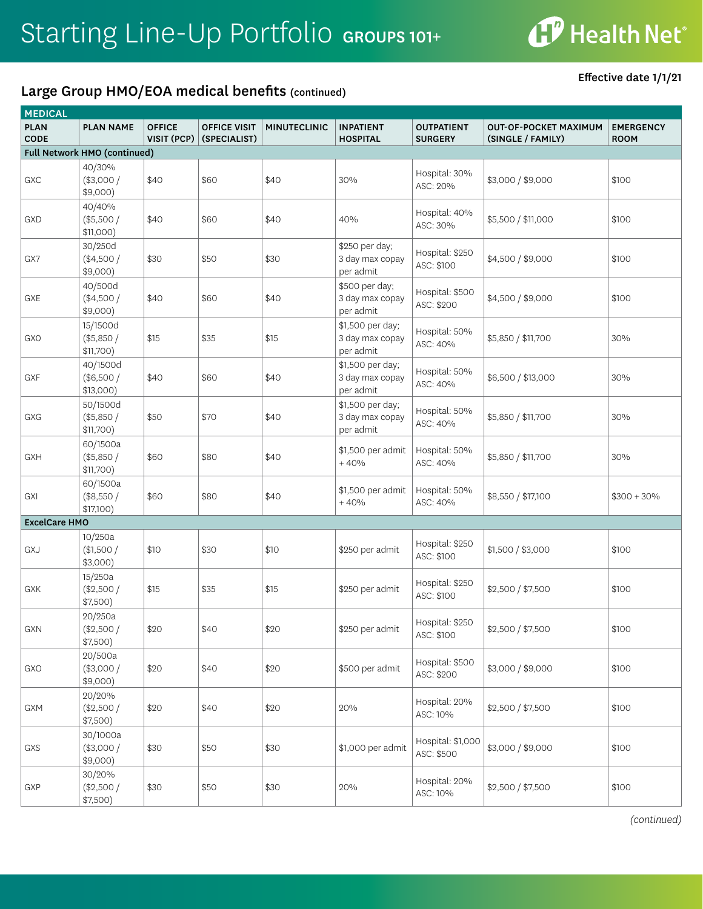

Effective date 1/1/21

| <b>MEDICAL</b>             |                                      |                              |                                     |                     |                                                  |                                     |                                                   |                                 |  |
|----------------------------|--------------------------------------|------------------------------|-------------------------------------|---------------------|--------------------------------------------------|-------------------------------------|---------------------------------------------------|---------------------------------|--|
| <b>PLAN</b><br><b>CODE</b> | <b>PLAN NAME</b>                     | <b>OFFICE</b><br>VISIT (PCP) | <b>OFFICE VISIT</b><br>(SPECIALIST) | <b>MINUTECLINIC</b> | <b>INPATIENT</b><br><b>HOSPITAL</b>              | <b>OUTPATIENT</b><br><b>SURGERY</b> | <b>OUT-OF-POCKET MAXIMUM</b><br>(SINGLE / FAMILY) | <b>EMERGENCY</b><br><b>ROOM</b> |  |
|                            | Full Network HMO (continued)         |                              |                                     |                     |                                                  |                                     |                                                   |                                 |  |
| GXC                        | 40/30%<br>(\$3,000/<br>$$9,000$ )    | \$40                         | \$60                                | \$40                | 30%                                              | Hospital: 30%<br>ASC: 20%           | \$3,000 / \$9,000                                 | \$100                           |  |
| GXD                        | 40/40%<br>$(*5,500/$<br>\$11,000)    | \$40                         | \$60                                | \$40                | 40%                                              | Hospital: 40%<br>ASC: 30%           | \$5,500 / \$11,000                                | \$100                           |  |
| GX7                        | 30/250d<br>$(*4,500/$<br>$$9,000$ )  | \$30                         | \$50                                | \$30                | \$250 per day;<br>3 day max copay<br>per admit   | Hospital: \$250<br>ASC: \$100       | \$4,500 / \$9,000                                 | \$100                           |  |
| GXE                        | 40/500d<br>$(*4,500/$<br>\$9,000)    | \$40                         | \$60                                | \$40                | \$500 per day;<br>3 day max copay<br>per admit   | Hospital: \$500<br>ASC: \$200       | \$4,500 / \$9,000                                 | \$100                           |  |
| <b>GXO</b>                 | 15/1500d<br>(\$5,850/<br>\$11,700)   | \$15                         | \$35                                | \$15                | \$1,500 per day;<br>3 day max copay<br>per admit | Hospital: 50%<br>ASC: 40%           | \$5,850 / \$11,700                                | 30%                             |  |
| GXF                        | 40/1500d<br>(\$6,500/<br>$$13,000$ ) | \$40                         | \$60                                | \$40                | \$1,500 per day;<br>3 day max copay<br>per admit | Hospital: 50%<br>ASC: 40%           | \$6,500 / \$13,000                                | 30%                             |  |
| GXG                        | 50/1500d<br>(\$5,850/<br>\$11,700)   | \$50                         | \$70                                | \$40                | \$1,500 per day;<br>3 day max copay<br>per admit | Hospital: 50%<br>ASC: 40%           | \$5,850 / \$11,700                                | 30%                             |  |
| GXH                        | 60/1500a<br>(\$5,850/<br>\$11,700)   | \$60                         | \$80                                | \$40                | \$1,500 per admit<br>$+40%$                      | Hospital: 50%<br>ASC: 40%           | \$5,850 / \$11,700                                | 30%                             |  |
| GXI                        | 60/1500a<br>(\$8,550/<br>\$17,100)   | \$60                         | \$80                                | \$40                | \$1,500 per admit<br>$+40%$                      | Hospital: 50%<br>ASC: 40%           | \$8,550 / \$17,100                                | $$300 + 30\%$                   |  |
| <b>ExcelCare HMO</b>       |                                      |                              |                                     |                     |                                                  |                                     |                                                   |                                 |  |
| GXJ                        | 10/250a<br>(\$1,500/<br>$$3,000$ )   | \$10                         | \$30                                | \$10                | \$250 per admit                                  | Hospital: \$250<br>ASC: \$100       | \$1,500 / \$3,000                                 | \$100                           |  |
| GXK                        | 15/250a<br>(\$2,500/<br>\$7,500)     | \$15                         | \$35                                | \$15                | \$250 per admit                                  | Hospital: \$250<br>ASC: \$100       | \$2,500 / \$7,500                                 | \$100                           |  |
| GXN                        | 20/250a<br>(\$2,500/<br>\$7,500)     | \$20                         | \$40                                | \$20                | \$250 per admit                                  | Hospital: \$250<br>ASC: \$100       | \$2,500 / \$7,500                                 | \$100                           |  |
| GXO                        | 20/500a<br>$(*3,000/$<br>\$9,000)    | \$20                         | \$40                                | \$20                | \$500 per admit                                  | Hospital: \$500<br>ASC: \$200       | \$3,000 / \$9,000                                 | \$100                           |  |
| GXM                        | 20/20%<br>(\$2,500/<br>\$7,500)      | \$20                         | \$40                                | \$20                | 20%                                              | Hospital: 20%<br>ASC: 10%           | \$2,500 / \$7,500                                 | \$100                           |  |
| GXS                        | 30/1000a<br>(\$3,000/<br>\$9,000)    | \$30                         | \$50                                | \$30                | \$1,000 per admit                                | Hospital: \$1,000<br>ASC: \$500     | \$3,000 / \$9,000                                 | \$100                           |  |
| GXP                        | 30/20%<br>(\$2,500/<br>\$7,500)      | \$30                         | \$50                                | \$30                | 20%                                              | Hospital: 20%<br>ASC: 10%           | \$2,500 / \$7,500                                 | \$100                           |  |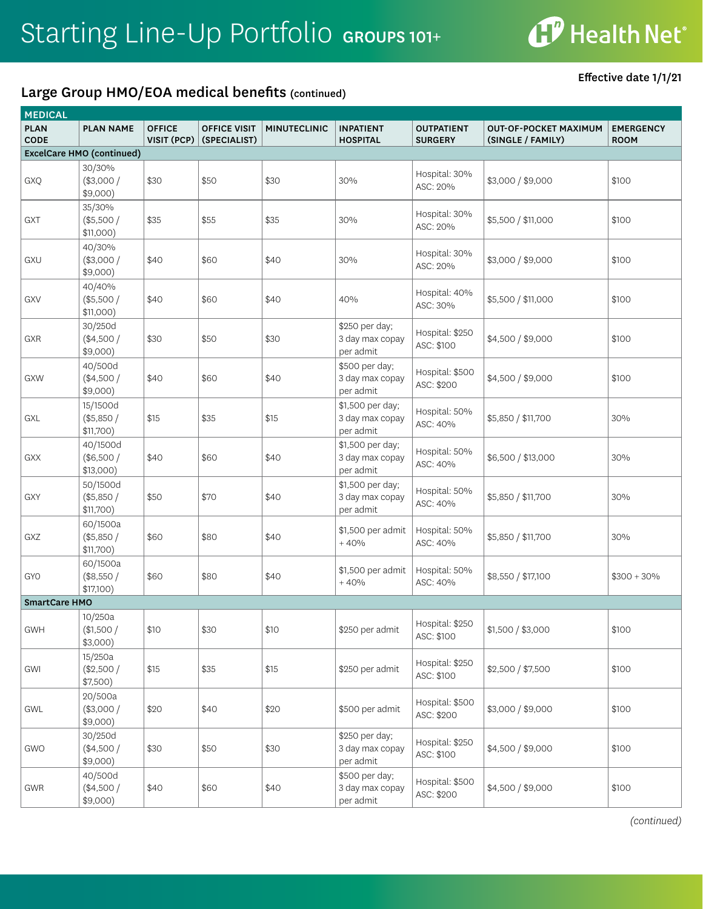

Effective date 1/1/21

| <b>MEDICAL</b>             |                                      |                              |                                     |                     |                                                  |                                     |                                                   |                                 |
|----------------------------|--------------------------------------|------------------------------|-------------------------------------|---------------------|--------------------------------------------------|-------------------------------------|---------------------------------------------------|---------------------------------|
| <b>PLAN</b><br><b>CODE</b> | <b>PLAN NAME</b>                     | <b>OFFICE</b><br>VISIT (PCP) | <b>OFFICE VISIT</b><br>(SPECIALIST) | <b>MINUTECLINIC</b> | <b>INPATIENT</b><br><b>HOSPITAL</b>              | <b>OUTPATIENT</b><br><b>SURGERY</b> | <b>OUT-OF-POCKET MAXIMUM</b><br>(SINGLE / FAMILY) | <b>EMERGENCY</b><br><b>ROOM</b> |
|                            | <b>ExcelCare HMO (continued)</b>     |                              |                                     |                     |                                                  |                                     |                                                   |                                 |
| GXQ                        | 30/30%<br>(\$3,000/<br>\$9,000)      | \$30                         | \$50                                | \$30                | 30%                                              | Hospital: 30%<br>ASC: 20%           | \$3,000 / \$9,000                                 | \$100                           |
| GXT                        | 35/30%<br>(\$5,500/<br>\$11,000)     | \$35                         | \$55                                | \$35                | 30%                                              | Hospital: 30%<br>ASC: 20%           | \$5,500 / \$11,000                                | \$100                           |
| GXU                        | 40/30%<br>$(*3,000/$<br>$$9,000$ )   | \$40                         | \$60                                | \$40                | 30%                                              | Hospital: 30%<br>ASC: 20%           | \$3,000 / \$9,000                                 | \$100                           |
| GXV                        | 40/40%<br>(\$5,500/<br>\$11,000)     | \$40                         | \$60                                | \$40                | 40%                                              | Hospital: 40%<br>ASC: 30%           | \$5,500 / \$11,000                                | \$100                           |
| GXR                        | 30/250d<br>$(*4,500/$<br>$$9,000$ )  | \$30                         | \$50                                | \$30                | \$250 per day;<br>3 day max copay<br>per admit   | Hospital: \$250<br>ASC: \$100       | \$4,500 / \$9,000                                 | \$100                           |
| GXW                        | 40/500d<br>$(*4,500/$<br>$$9,000$ )  | \$40                         | \$60                                | \$40                | \$500 per day;<br>3 day max copay<br>per admit   | Hospital: \$500<br>ASC: \$200       | \$4,500 / \$9,000                                 | \$100                           |
| GXL                        | 15/1500d<br>(\$5,850/<br>\$11,700)   | \$15                         | \$35                                | \$15                | \$1,500 per day;<br>3 day max copay<br>per admit | Hospital: 50%<br>ASC: 40%           | \$5,850 / \$11,700                                | 30%                             |
| GXX                        | 40/1500d<br>(\$6,500/<br>$$13,000$ ) | \$40                         | \$60                                | \$40                | \$1,500 per day;<br>3 day max copay<br>per admit | Hospital: 50%<br>ASC: 40%           | \$6,500 / \$13,000                                | 30%                             |
| GXY                        | 50/1500d<br>(\$5,850/<br>\$11,700)   | \$50                         | \$70                                | \$40                | \$1,500 per day;<br>3 day max copay<br>per admit | Hospital: 50%<br>ASC: 40%           | \$5,850 / \$11,700                                | 30%                             |
| GXZ                        | 60/1500a<br>(\$5,850/<br>\$11,700)   | \$60                         | \$80                                | \$40                | \$1,500 per admit<br>$+40%$                      | Hospital: 50%<br>ASC: 40%           | \$5,850 / \$11,700                                | 30%                             |
| <b>GYO</b>                 | 60/1500a<br>(\$8,550/<br>\$17,100)   | \$60                         | \$80                                | \$40                | \$1,500 per admit<br>$+40%$                      | Hospital: 50%<br>ASC: 40%           | \$8,550 / \$17,100                                | $$300 + 30\%$                   |
| <b>SmartCare HMO</b>       |                                      |                              |                                     |                     |                                                  |                                     |                                                   |                                 |
| <b>GWH</b>                 | 10/250a<br>(\$1,500/<br>$$3,000$ )   | \$10                         | \$30                                | \$10                | \$250 per admit                                  | Hospital: \$250<br>ASC: \$100       | \$1,500 / \$3,000                                 | \$100                           |
| GWI                        | 15/250a<br>(\$2,500/<br>\$7,500)     | \$15                         | \$35                                | \$15                | \$250 per admit                                  | Hospital: \$250<br>ASC: \$100       | \$2,500 / \$7,500                                 | \$100                           |
| GWL                        | 20/500a<br>(\$3,000/<br>\$9,000)     | \$20                         | \$40                                | \$20                | \$500 per admit                                  | Hospital: \$500<br>ASC: \$200       | \$3,000 / \$9,000                                 | \$100                           |
| GWO                        | 30/250d<br>(\$4,500/<br>\$9,000)     | \$30                         | \$50                                | \$30                | \$250 per day;<br>3 day max copay<br>per admit   | Hospital: \$250<br>ASC: \$100       | \$4,500 / \$9,000                                 | \$100                           |
| GWR                        | 40/500d<br>(\$4,500/<br>\$9,000)     | \$40                         | \$60                                | \$40                | \$500 per day;<br>3 day max copay<br>per admit   | Hospital: \$500<br>ASC: \$200       | \$4,500 / \$9,000                                 | \$100                           |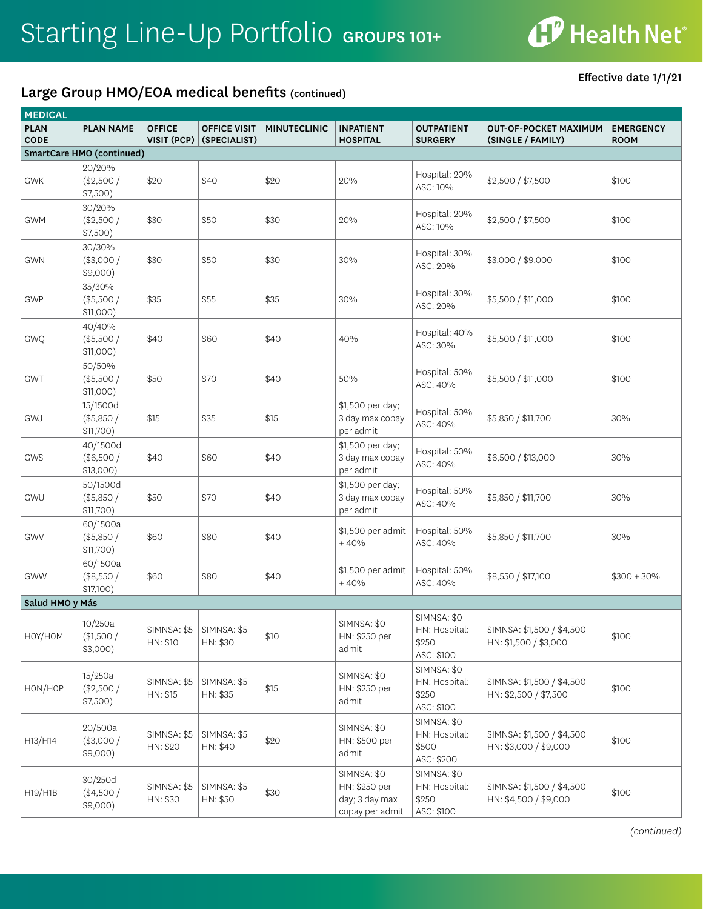

Effective date 1/1/21

| <b>MEDICAL</b>             |                                      |                              |                                     |                     |                                                                   |                                                     |                                                    |                                 |  |
|----------------------------|--------------------------------------|------------------------------|-------------------------------------|---------------------|-------------------------------------------------------------------|-----------------------------------------------------|----------------------------------------------------|---------------------------------|--|
| <b>PLAN</b><br><b>CODE</b> | <b>PLAN NAME</b>                     | <b>OFFICE</b><br>VISIT (PCP) | <b>OFFICE VISIT</b><br>(SPECIALIST) | <b>MINUTECLINIC</b> | <b>INPATIENT</b><br><b>HOSPITAL</b>                               | <b>OUTPATIENT</b><br><b>SURGERY</b>                 | <b>OUT-OF-POCKET MAXIMUM</b><br>(SINGLE / FAMILY)  | <b>EMERGENCY</b><br><b>ROOM</b> |  |
|                            | SmartCare HMO (continued)            |                              |                                     |                     |                                                                   |                                                     |                                                    |                                 |  |
| GWK                        | 20/20%<br>(\$2,500/<br>\$7,500)      | \$20                         | \$40                                | \$20                | 20%                                                               | Hospital: 20%<br>ASC: 10%                           | \$2,500 / \$7,500                                  | \$100                           |  |
| <b>GWM</b>                 | 30/20%<br>(\$2,500/<br>\$7,500)      | \$30                         | \$50                                | \$30                | 20%                                                               | Hospital: 20%<br>ASC: 10%                           | \$2,500 / \$7,500                                  | \$100                           |  |
| <b>GWN</b>                 | 30/30%<br>$(*3,000/$<br>\$9,000)     | \$30                         | \$50                                | \$30                | 30%                                                               | Hospital: 30%<br>ASC: 20%                           | \$3,000 / \$9,000                                  | \$100                           |  |
| GWP                        | 35/30%<br>$(*5,500/$<br>\$11,000)    | \$35                         | \$55                                | \$35                | 30%                                                               | Hospital: 30%<br>ASC: 20%                           | \$5,500 / \$11,000                                 | \$100                           |  |
| <b>GWQ</b>                 | 40/40%<br>$(*5,500/$<br>\$11,000)    | \$40                         | \$60                                | \$40                | 40%                                                               | Hospital: 40%<br>ASC: 30%                           | \$5,500 / \$11,000                                 | \$100                           |  |
| <b>GWT</b>                 | 50/50%<br>(\$5,500/<br>\$11,000)     | \$50                         | \$70                                | \$40                | 50%                                                               | Hospital: 50%<br>ASC: 40%                           | \$5,500 / \$11,000                                 | \$100                           |  |
| GWJ                        | 15/1500d<br>(\$5,850/<br>\$11,700)   | \$15                         | \$35                                | \$15                | \$1,500 per day;<br>3 day max copay<br>per admit                  | Hospital: 50%<br>ASC: 40%                           | \$5,850 / \$11,700                                 | 30%                             |  |
| GWS                        | 40/1500d<br>(\$6,500/<br>$$13,000$ ) | \$40                         | \$60                                | \$40                | \$1,500 per day;<br>3 day max copay<br>per admit                  | Hospital: 50%<br>ASC: 40%                           | \$6,500 / \$13,000                                 | 30%                             |  |
| GWU                        | 50/1500d<br>(\$5,850/<br>\$11,700)   | \$50                         | \$70                                | \$40                | \$1,500 per day;<br>3 day max copay<br>per admit                  | Hospital: 50%<br>ASC: 40%                           | \$5,850 / \$11,700                                 | 30%                             |  |
| GWV                        | 60/1500a<br>(\$5,850/<br>\$11,700)   | \$60                         | \$80                                | \$40                | \$1,500 per admit<br>$+40%$                                       | Hospital: 50%<br>ASC: 40%                           | \$5,850 / \$11,700                                 | 30%                             |  |
| <b>GWW</b>                 | 60/1500a<br>(\$8,550/<br>\$17,100)   | \$60                         | \$80                                | \$40                | \$1,500 per admit<br>$+40%$                                       | Hospital: 50%<br>ASC: 40%                           | \$8,550 / \$17,100                                 | $$300 + 30\%$                   |  |
| Salud HMO y Más            |                                      |                              |                                     |                     |                                                                   |                                                     |                                                    |                                 |  |
| HOY/HOM                    | 10/250a<br>(\$1,500/<br>$$3,000$ )   | SIMNSA: \$5<br>HN: \$10      | SIMNSA: \$5<br>HN: \$30             | \$10                | SIMNSA: \$0<br>HN: \$250 per<br>admit                             | SIMNSA: \$0<br>HN: Hospital:<br>\$250<br>ASC: \$100 | SIMNSA: \$1,500 / \$4,500<br>HN: \$1,500 / \$3,000 | \$100                           |  |
| HON/HOP                    | 15/250a<br>(\$2,500/<br>\$7,500)     | SIMNSA: \$5<br>HN: \$15      | SIMNSA: \$5<br>HN: \$35             | \$15                | SIMNSA: \$0<br>HN: \$250 per<br>admit                             | SIMNSA: \$0<br>HN: Hospital:<br>\$250<br>ASC: \$100 | SIMNSA: \$1,500 / \$4,500<br>HN: \$2,500 / \$7,500 | \$100                           |  |
| H13/H14                    | 20/500a<br>(\$3,000/<br>$$9,000$ )   | SIMNSA: \$5<br>HN: \$20      | SIMNSA: \$5<br>HN: \$40             | \$20                | SIMNSA: \$0<br>HN: \$500 per<br>admit                             | SIMNSA: \$0<br>HN: Hospital:<br>\$500<br>ASC: \$200 | SIMNSA: \$1,500 / \$4,500<br>HN: \$3,000 / \$9,000 | \$100                           |  |
| H19/H1B                    | 30/250d<br>(\$4,500/<br>$$9,000$ )   | SIMNSA: \$5<br>HN: \$30      | SIMNSA: \$5<br>HN: \$50             | \$30                | SIMNSA: \$0<br>HN: \$250 per<br>day; 3 day max<br>copay per admit | SIMNSA: \$0<br>HN: Hospital:<br>\$250<br>ASC: \$100 | SIMNSA: \$1,500 / \$4,500<br>HN: \$4,500 / \$9,000 | \$100                           |  |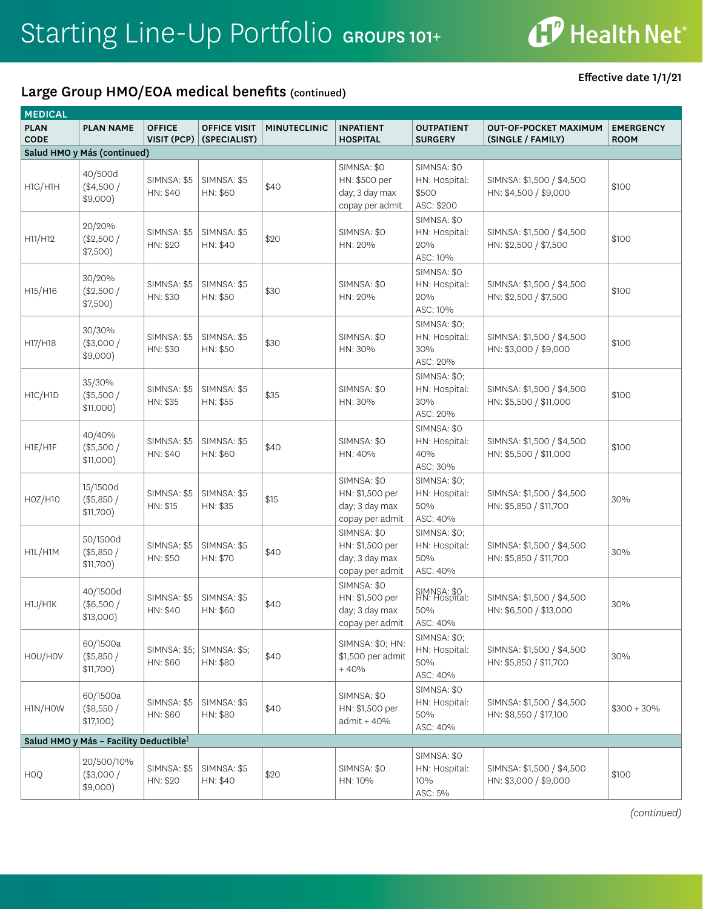### Large Group HMO/EOA medical benefits (continued)

Effective date 1/1/21

| <b>MEDICAL</b>             |                                                    |                              |                                     |                     |                                                                     |                                                         |                                                     |                                 |  |
|----------------------------|----------------------------------------------------|------------------------------|-------------------------------------|---------------------|---------------------------------------------------------------------|---------------------------------------------------------|-----------------------------------------------------|---------------------------------|--|
| <b>PLAN</b><br><b>CODE</b> | <b>PLAN NAME</b>                                   | <b>OFFICE</b><br>VISIT (PCP) | <b>OFFICE VISIT</b><br>(SPECIALIST) | <b>MINUTECLINIC</b> | <b>INPATIENT</b><br><b>HOSPITAL</b>                                 | <b>OUTPATIENT</b><br><b>SURGERY</b>                     | <b>OUT-OF-POCKET MAXIMUM</b><br>(SINGLE / FAMILY)   | <b>EMERGENCY</b><br><b>ROOM</b> |  |
|                            | Salud HMO y Más (continued)                        |                              |                                     |                     |                                                                     |                                                         |                                                     |                                 |  |
| H1G/H1H                    | 40/500d<br>(\$4,500/<br>$$9,000$ )                 | SIMNSA: \$5<br>HN: \$40      | SIMNSA: \$5<br>HN: \$60             | \$40                | SIMNSA: \$0<br>HN: \$500 per<br>day; 3 day max<br>copay per admit   | SIMNSA: \$0<br>HN: Hospital:<br>\$500<br>ASC: \$200     | SIMNSA: \$1,500 / \$4,500<br>HN: \$4,500 / \$9,000  | \$100                           |  |
| H11/H12                    | 20/20%<br>(\$2,500/<br>\$7,500)                    | SIMNSA: \$5<br>HN: \$20      | SIMNSA: \$5<br>HN: \$40             | \$20                | SIMNSA: \$0<br>HN: 20%                                              | SIMNSA: \$0<br>HN: Hospital:<br>20%<br>ASC: 10%         | SIMNSA: \$1,500 / \$4,500<br>HN: \$2,500 / \$7,500  | \$100                           |  |
| H15/H16                    | 30/20%<br>(\$2,500/<br>\$7,500)                    | SIMNSA: \$5<br>HN: \$30      | SIMNSA: \$5<br>HN: \$50             | \$30                | SIMNSA: \$0<br>HN: 20%                                              | SIMNSA: \$0<br>HN: Hospital:<br>20%<br>ASC: 10%         | SIMNSA: \$1,500 / \$4,500<br>HN: \$2,500 / \$7,500  | \$100                           |  |
| H17/H18                    | 30/30%<br>(\$3,000/<br>\$9,000)                    | SIMNSA: \$5<br>HN: \$30      | SIMNSA: \$5<br>HN: \$50             | \$30                | SIMNSA: \$0<br>HN: 30%                                              | <b>SIMNSA: \$0;</b><br>HN: Hospital:<br>30%<br>ASC: 20% | SIMNSA: \$1,500 / \$4,500<br>HN: \$3,000 / \$9,000  | \$100                           |  |
| H1C/H1D                    | 35/30%<br>(\$5,500/<br>\$11,000)                   | SIMNSA: \$5<br>HN: \$35      | SIMNSA: \$5<br>HN: \$55             | \$35                | SIMNSA: \$0<br>HN: 30%                                              | <b>SIMNSA: \$0;</b><br>HN: Hospital:<br>30%<br>ASC: 20% | SIMNSA: \$1,500 / \$4,500<br>HN: \$5,500 / \$11,000 | \$100                           |  |
| H1E/H1F                    | 40/40%<br>(\$5,500/<br>\$11,000)                   | SIMNSA: \$5<br>HN: \$40      | SIMNSA: \$5<br>HN: \$60             | \$40                | SIMNSA: \$0<br>HN: 40%                                              | SIMNSA: \$0<br>HN: Hospital:<br>40%<br>ASC: 30%         | SIMNSA: \$1,500 / \$4,500<br>HN: \$5,500 / \$11,000 | \$100                           |  |
| H0Z/H10                    | 15/1500d<br>(\$5,850/<br>\$11,700)                 | SIMNSA: \$5<br>HN: \$15      | SIMNSA: \$5<br>HN: \$35             | \$15                | SIMNSA: \$0<br>HN: \$1,500 per<br>day; 3 day max<br>copay per admit | SIMNSA: \$0;<br>HN: Hospital:<br>50%<br>ASC: 40%        | SIMNSA: \$1,500 / \$4,500<br>HN: \$5,850 / \$11,700 | 30%                             |  |
| H1L/H1M                    | 50/1500d<br>(\$5,850/<br>\$11,700)                 | SIMNSA: \$5<br>HN: \$50      | SIMNSA: \$5<br>HN: \$70             | \$40                | SIMNSA: \$0<br>HN: \$1,500 per<br>day; 3 day max<br>copay per admit | <b>SIMNSA: \$0;</b><br>HN: Hospital:<br>50%<br>ASC: 40% | SIMNSA: \$1,500 / \$4,500<br>HN: \$5,850 / \$11,700 | 30%                             |  |
| H1J/H1K                    | 40/1500d<br>(\$6,500/<br>$$13,000$ )               | SIMNSA: \$5<br>HN: \$40      | SIMNSA: \$5<br>HN: \$60             | \$40                | SIMNSA: \$0<br>HN: \$1,500 per<br>day; 3 day max<br>copay per admit | SIMNSA: \$0<br>HN: Hospital:<br>50%<br>ASC: 40%         | SIMNSA: \$1,500 / \$4,500<br>HN: \$6,500 / \$13,000 | 30%                             |  |
| HOU/HOV                    | 60/1500a<br>(\$5,850/<br>\$11,700)                 | SIMNSA: \$5;<br>HN: \$60     | <b>SIMNSA: \$5;</b><br>HN: \$80     | \$40                | SIMNSA: \$0; HN:<br>\$1,500 per admit<br>$+40%$                     | SIMNSA: \$0;<br>HN: Hospital:<br>50%<br>ASC: 40%        | SIMNSA: \$1,500 / \$4,500<br>HN: \$5,850 / \$11,700 | 30%                             |  |
| H1N/HOW                    | 60/1500a<br>(\$8,550/<br>\$17,100)                 | SIMNSA: \$5<br>HN: \$60      | SIMNSA: \$5<br>HN: \$80             | \$40                | SIMNSA: \$0<br>HN: \$1,500 per<br>admit + 40%                       | SIMNSA: \$0<br>HN: Hospital:<br>50%<br>ASC: 40%         | SIMNSA: \$1,500 / \$4,500<br>HN: \$8,550 / \$17,100 | $$300 + 30\%$                   |  |
|                            | Salud HMO y Más - Facility Deductible <sup>1</sup> |                              |                                     |                     |                                                                     |                                                         |                                                     |                                 |  |
| HOQ                        | 20/500/10%<br>(\$3,000/<br>$$9,000$ )              | SIMNSA: \$5<br>HN: \$20      | SIMNSA: \$5<br>HN: \$40             | \$20                | SIMNSA: \$0<br>HN: 10%                                              | SIMNSA: \$0<br>HN: Hospital:<br>10%<br>ASC: 5%          | SIMNSA: \$1,500 / \$4,500<br>HN: \$3,000 / \$9,000  | \$100                           |  |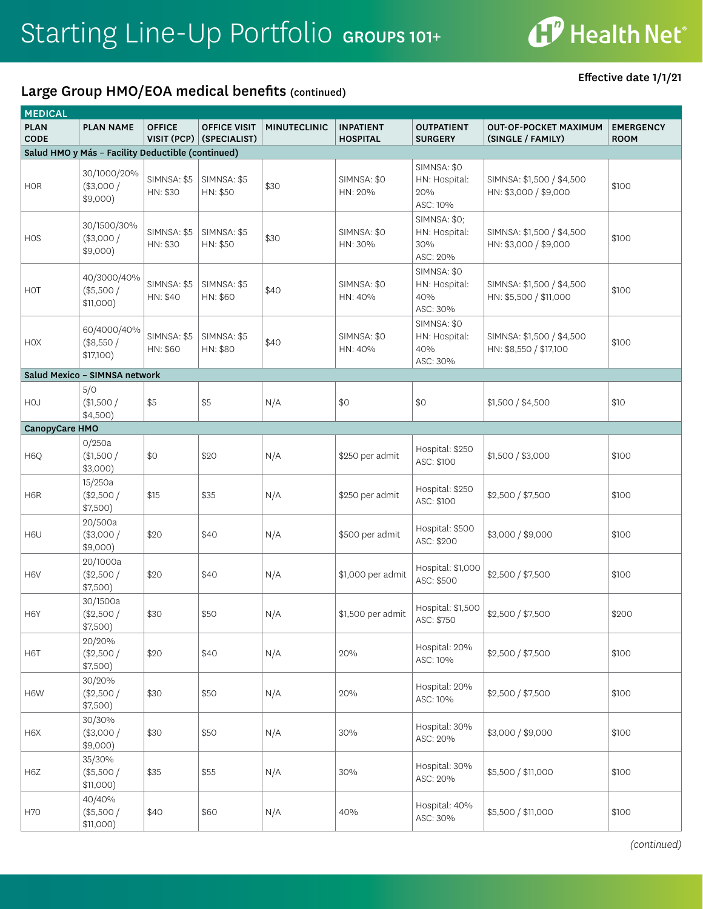# **CP** Health Net®

### Large Group HMO/EOA medical benefits (continued)

Effective date 1/1/21

| <b>MEDICAL</b>             |                                                   |                                |                                     |                     |                                     |                                                         |                                                     |                                 |
|----------------------------|---------------------------------------------------|--------------------------------|-------------------------------------|---------------------|-------------------------------------|---------------------------------------------------------|-----------------------------------------------------|---------------------------------|
| <b>PLAN</b><br><b>CODE</b> | <b>PLAN NAME</b>                                  | <b>OFFICE</b><br>VISIT (PCP)   | <b>OFFICE VISIT</b><br>(SPECIALIST) | <b>MINUTECLINIC</b> | <b>INPATIENT</b><br><b>HOSPITAL</b> | <b>OUTPATIENT</b><br><b>SURGERY</b>                     | <b>OUT-OF-POCKET MAXIMUM</b><br>(SINGLE / FAMILY)   | <b>EMERGENCY</b><br><b>ROOM</b> |
|                            | Salud HMO y Más - Facility Deductible (continued) |                                |                                     |                     |                                     |                                                         |                                                     |                                 |
| <b>HOR</b>                 | 30/1000/20%<br>$(*3,000/$<br>$$9,000$ )           | SIMNSA: \$5<br>HN: \$30        | SIMNSA: \$5<br>HN: \$50             | \$30                | SIMNSA: \$0<br>HN: 20%              | SIMNSA: \$0<br>HN: Hospital:<br>20%<br>ASC: 10%         | SIMNSA: \$1,500 / \$4,500<br>HN: \$3,000 / \$9,000  | \$100                           |
| <b>HOS</b>                 | 30/1500/30%<br>(\$3,000/<br>$$9,000$ )            | <b>SIMNSA: \$5</b><br>HN: \$30 | SIMNSA: \$5<br>HN: \$50             | \$30                | SIMNSA: \$0<br>HN: 30%              | <b>SIMNSA: \$0;</b><br>HN: Hospital:<br>30%<br>ASC: 20% | SIMNSA: \$1,500 / \$4,500<br>HN: \$3,000 / \$9,000  | \$100                           |
| HOT                        | 40/3000/40%<br>(\$5,500/<br>\$11,000)             | SIMNSA: \$5<br>HN: \$40        | SIMNSA: \$5<br>HN: \$60             | \$40                | SIMNSA: \$0<br>HN: 40%              | SIMNSA: \$0<br>HN: Hospital:<br>40%<br>ASC: 30%         | SIMNSA: \$1,500 / \$4,500<br>HN: \$5,500 / \$11,000 | \$100                           |
| HOX                        | 60/4000/40%<br>(\$8,550/<br>\$17,100)             | SIMNSA: \$5<br>HN: \$60        | SIMNSA: \$5<br>HN: \$80             | \$40                | SIMNSA: \$0<br>HN: 40%              | SIMNSA: \$0<br>HN: Hospital:<br>40%<br>ASC: 30%         | SIMNSA: \$1,500 / \$4,500<br>HN: \$8,550 / \$17,100 | \$100                           |
|                            | Salud Mexico - SIMNSA network                     |                                |                                     |                     |                                     |                                                         |                                                     |                                 |
| <b>HOJ</b>                 | 5/0<br>(\$1,500/<br>\$4,500)                      | \$5                            | \$5                                 | N/A                 | \$0                                 | \$0                                                     | \$1,500 / \$4,500                                   | \$10                            |
| CanopyCare HMO             |                                                   |                                |                                     |                     |                                     |                                                         |                                                     |                                 |
| H <sub>6</sub> Q           | 0/250a<br>(\$1,500/<br>\$3,000)                   | \$0                            | \$20                                | N/A                 | \$250 per admit                     | Hospital: \$250<br>ASC: \$100                           | \$1,500 / \$3,000                                   | \$100                           |
| H6R                        | 15/250a<br>(\$2,500/<br>\$7,500)                  | \$15                           | \$35                                | N/A                 | \$250 per admit                     | Hospital: \$250<br>ASC: \$100                           | \$2,500 / \$7,500                                   | \$100                           |
| H6U                        | 20/500a<br>$(*3,000/$<br>$$9,000$ )               | \$20                           | \$40                                | N/A                 | \$500 per admit                     | Hospital: \$500<br>ASC: \$200                           | \$3,000 / \$9,000                                   | \$100                           |
| H6V                        | 20/1000a<br>(\$2,500/<br>\$7,500)                 | \$20                           | \$40                                | N/A                 | \$1,000 per admit                   | Hospital: \$1,000<br>ASC: \$500                         | \$2,500 / \$7,500                                   | \$100                           |
| H6Y                        | 30/1500a<br>(\$2,500/<br>\$7,500)                 | \$30                           | \$50                                | N/A                 | \$1,500 per admit                   | Hospital: \$1,500<br>ASC: \$750                         | \$2,500 / \$7,500                                   | \$200                           |
| H6T                        | 20/20%<br>(\$2,500/<br>\$7,500)                   | \$20                           | \$40                                | N/A                 | 20%                                 | Hospital: 20%<br>ASC: 10%                               | \$2,500 / \$7,500                                   | \$100                           |
| H6W                        | 30/20%<br>(\$2,500/<br>\$7,500)                   | \$30                           | \$50                                | N/A                 | 20%                                 | Hospital: 20%<br>ASC: 10%                               | \$2,500 / \$7,500                                   | \$100                           |
| H6X                        | 30/30%<br>(\$3,000/<br>$$9,000$ )                 | \$30                           | \$50                                | N/A                 | 30%                                 | Hospital: 30%<br>ASC: 20%                               | \$3,000 / \$9,000                                   | \$100                           |
| H6Z                        | 35/30%<br>(\$5,500/<br>\$11,000)                  | \$35                           | \$55                                | N/A                 | 30%                                 | Hospital: 30%<br>ASC: 20%                               | \$5,500 / \$11,000                                  | \$100                           |
| <b>H70</b>                 | 40/40%<br>(\$5,500/<br>\$11,000)                  | \$40                           | \$60                                | N/A                 | 40%                                 | Hospital: 40%<br>ASC: 30%                               | \$5,500 / \$11,000                                  | \$100                           |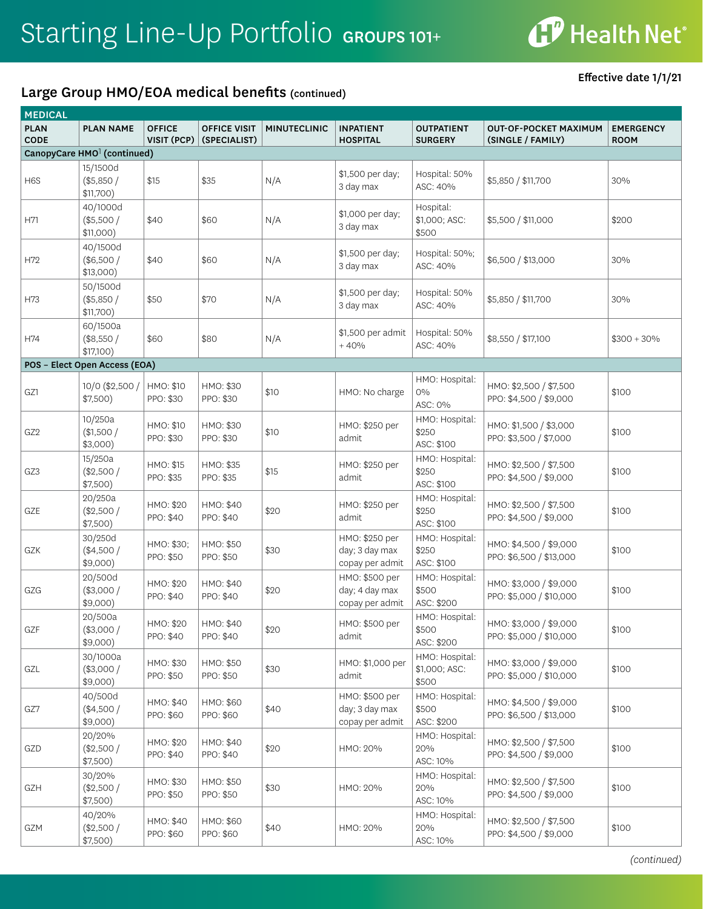

Effective date 1/1/21

| <b>MEDICAL</b>             |                                         |                              |                                     |                     |                                                     |                                          |                                                   |                                 |  |
|----------------------------|-----------------------------------------|------------------------------|-------------------------------------|---------------------|-----------------------------------------------------|------------------------------------------|---------------------------------------------------|---------------------------------|--|
| <b>PLAN</b><br><b>CODE</b> | <b>PLAN NAME</b>                        | <b>OFFICE</b><br>VISIT (PCP) | <b>OFFICE VISIT</b><br>(SPECIALIST) | <b>MINUTECLINIC</b> | <b>INPATIENT</b><br><b>HOSPITAL</b>                 | <b>OUTPATIENT</b><br><b>SURGERY</b>      | <b>OUT-OF-POCKET MAXIMUM</b><br>(SINGLE / FAMILY) | <b>EMERGENCY</b><br><b>ROOM</b> |  |
|                            | CanopyCare HMO <sup>1</sup> (continued) |                              |                                     |                     |                                                     |                                          |                                                   |                                 |  |
| H <sub>6</sub> S           | 15/1500d<br>(\$5,850/<br>\$11,700)      | \$15                         | \$35                                | N/A                 | \$1,500 per day;<br>3 day max                       | Hospital: 50%<br>ASC: 40%                | \$5,850 / \$11,700                                | 30%                             |  |
| H71                        | 40/1000d<br>$(*5,500/$<br>\$11,000)     | \$40                         | \$60                                | N/A                 | \$1,000 per day;<br>3 day max                       | Hospital:<br>\$1,000; ASC:<br>\$500      | \$5,500 / \$11,000                                | \$200                           |  |
| H72                        | 40/1500d<br>(\$6,500/<br>$$13,000$ )    | \$40                         | \$60                                | N/A                 | \$1,500 per day;<br>3 day max                       | Hospital: 50%;<br>ASC: 40%               | \$6,500 / \$13,000                                | 30%                             |  |
| H73                        | 50/1500d<br>(\$5,850/<br>\$11,700)      | \$50                         | \$70                                | N/A                 | \$1,500 per day;<br>3 day max                       | Hospital: 50%<br>ASC: 40%                | \$5,850 / \$11,700                                | 30%                             |  |
| H74                        | 60/1500a<br>(\$8,550/<br>\$17,100)      | \$60                         | \$80                                | N/A                 | \$1,500 per admit<br>$+40%$                         | Hospital: 50%<br>ASC: 40%                | \$8,550 / \$17,100                                | $$300 + 30\%$                   |  |
|                            | POS - Elect Open Access (EOA)           |                              |                                     |                     |                                                     |                                          |                                                   |                                 |  |
| GZ1                        | 10/0 (\$2,500 /<br>\$7,500)             | HMO: \$10<br>PPO: \$30       | HMO: \$30<br>PPO: \$30              | \$10                | HMO: No charge                                      | HMO: Hospital:<br>0%<br>ASC: 0%          | HMO: \$2,500 / \$7,500<br>PPO: \$4,500 / \$9,000  | \$100                           |  |
| GZ <sub>2</sub>            | 10/250a<br>\$1,500/<br>$$3,000$ )       | HMO: \$10<br>PPO: \$30       | HMO: \$30<br>PPO: \$30              | \$10                | HMO: \$250 per<br>admit                             | HMO: Hospital:<br>\$250<br>ASC: \$100    | HMO: \$1,500 / \$3,000<br>PPO: \$3,500 / \$7,000  | \$100                           |  |
| GZ3                        | 15/250a<br>$(*2,500/$<br>\$7,500)       | HMO: \$15<br>PPO: \$35       | HMO: \$35<br>PPO: \$35              | \$15                | HMO: \$250 per<br>admit                             | HMO: Hospital:<br>\$250<br>ASC: \$100    | HMO: \$2,500 / \$7,500<br>PPO: \$4,500 / \$9,000  | \$100                           |  |
| GZE                        | 20/250a<br>(\$2,500/<br>\$7,500)        | HMO: \$20<br>PPO: \$40       | HMO: \$40<br>PPO: \$40              | \$20                | HMO: \$250 per<br>admit                             | HMO: Hospital:<br>\$250<br>ASC: \$100    | HMO: \$2,500 / \$7,500<br>PPO: \$4,500 / \$9,000  | \$100                           |  |
| GZK                        | 30/250d<br>$(*4,500/$<br>$$9,000$ )     | HMO: \$30;<br>PPO: \$50      | HMO: \$50<br>PPO: \$50              | \$30                | HMO: \$250 per<br>day; 3 day max<br>copay per admit | HMO: Hospital:<br>\$250<br>ASC: \$100    | HMO: \$4,500 / \$9,000<br>PPO: \$6,500 / \$13,000 | \$100                           |  |
| GZG                        | 20/500d<br>$(*3,000/$<br>\$9,000)       | HMO: \$20<br>PPO: \$40       | HMO: \$40<br>PPO: \$40              | \$20                | HMO: \$500 per<br>day; 4 day max<br>copay per admit | HMO: Hospital:<br>\$500<br>ASC: \$200    | HMO: \$3,000 / \$9,000<br>PPO: \$5,000 / \$10,000 | \$100                           |  |
| GZF                        | 20/500a<br>$(*3,000/$<br>$$9,000$ )     | HMO: \$20<br>PPO: \$40       | HMO: \$40<br>PPO: \$40              | \$20                | HMO: \$500 per<br>admit                             | HMO: Hospital:<br>\$500<br>ASC: \$200    | HMO: \$3,000 / \$9,000<br>PPO: \$5,000 / \$10,000 | \$100                           |  |
| GZL                        | 30/1000a<br>(\$3,000/<br>\$9,000)       | HMO: \$30<br>PPO: \$50       | HMO: \$50<br>PPO: \$50              | \$30                | HMO: \$1,000 per<br>admit                           | HMO: Hospital:<br>\$1,000; ASC:<br>\$500 | HMO: \$3,000 / \$9,000<br>PPO: \$5,000 / \$10,000 | \$100                           |  |
| GZ7                        | 40/500d<br>(\$4,500/<br>\$9,000)        | HMO: \$40<br>PPO: \$60       | HMO: \$60<br>PPO: \$60              | \$40                | HMO: \$500 per<br>day; 3 day max<br>copay per admit | HMO: Hospital:<br>\$500<br>ASC: \$200    | HMO: \$4,500 / \$9,000<br>PPO: \$6,500 / \$13,000 | \$100                           |  |
| GZD                        | 20/20%<br>(\$2,500/<br>\$7,500)         | HMO: \$20<br>PPO: \$40       | HMO: \$40<br>PPO: \$40              | \$20                | HMO: 20%                                            | HMO: Hospital:<br>20%<br>ASC: 10%        | HMO: \$2,500 / \$7,500<br>PPO: \$4,500 / \$9,000  | \$100                           |  |
| GZH                        | 30/20%<br>(\$2,500/<br>\$7,500)         | HMO: \$30<br>PPO: \$50       | HMO: \$50<br>PPO: \$50              | \$30                | HMO: 20%                                            | HMO: Hospital:<br>20%<br>ASC: 10%        | HMO: \$2,500 / \$7,500<br>PPO: \$4,500 / \$9,000  | \$100                           |  |
| GZM                        | 40/20%<br>(\$2,500/<br>\$7,500)         | HMO: \$40<br>PPO: \$60       | HMO: \$60<br>PPO: \$60              | \$40                | HMO: 20%                                            | HMO: Hospital:<br>20%<br>ASC: 10%        | HMO: \$2,500 / \$7,500<br>PPO: \$4,500 / \$9,000  | \$100                           |  |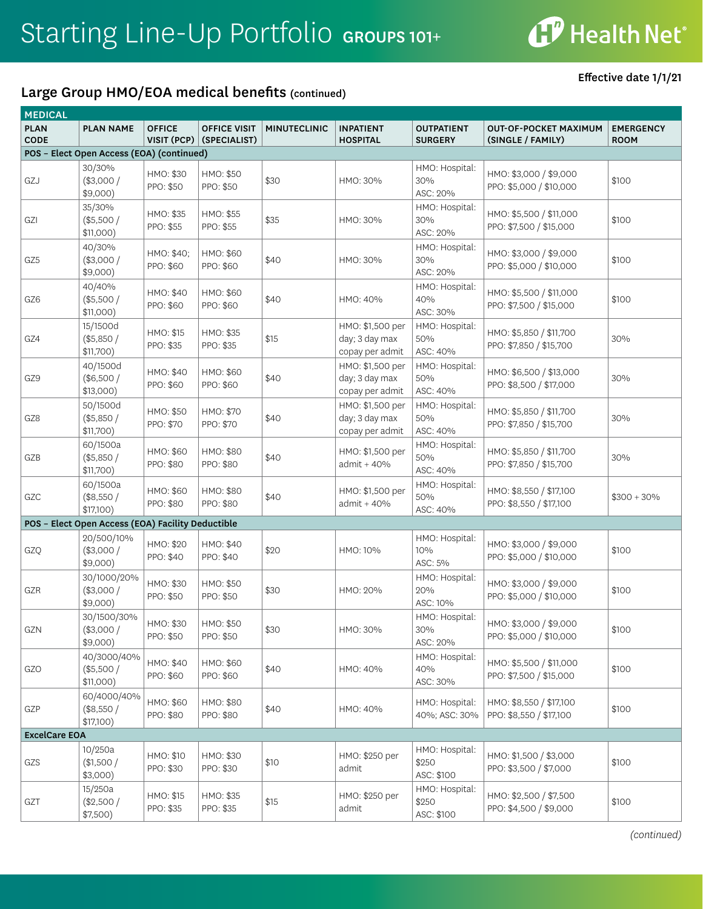### Large Group HMO/EOA medical benefits (continued)

Effective date 1/1/21

| <b>MEDICAL</b>             |                                                   |                              |                                     |                     |                                                       |                                       |                                                    |                                 |
|----------------------------|---------------------------------------------------|------------------------------|-------------------------------------|---------------------|-------------------------------------------------------|---------------------------------------|----------------------------------------------------|---------------------------------|
| <b>PLAN</b><br><b>CODE</b> | <b>PLAN NAME</b>                                  | <b>OFFICE</b><br>VISIT (PCP) | <b>OFFICE VISIT</b><br>(SPECIALIST) | <b>MINUTECLINIC</b> | <b>INPATIENT</b><br><b>HOSPITAL</b>                   | <b>OUTPATIENT</b><br><b>SURGERY</b>   | <b>OUT-OF-POCKET MAXIMUM</b><br>(SINGLE / FAMILY)  | <b>EMERGENCY</b><br><b>ROOM</b> |
|                            | POS - Elect Open Access (EOA) (continued)         |                              |                                     |                     |                                                       |                                       |                                                    |                                 |
| GZJ                        | 30/30%<br>(\$3,000/<br>$$9,000$ )                 | HMO: \$30<br>PPO: \$50       | HMO: \$50<br>PPO: \$50              | \$30                | HMO: 30%                                              | HMO: Hospital:<br>30%<br>ASC: 20%     | HMO: \$3,000 / \$9,000<br>PPO: \$5,000 / \$10,000  | \$100                           |
| GZI                        | 35/30%<br>(\$5,500/<br>\$11,000)                  | HMO: \$35<br>PPO: \$55       | HMO: \$55<br>PPO: \$55              | \$35                | HMO: 30%                                              | HMO: Hospital:<br>30%<br>ASC: 20%     | HMO: \$5,500 / \$11,000<br>PPO: \$7,500 / \$15,000 | \$100                           |
| GZ5                        | 40/30%<br>(\$3,000/<br>$$9,000$ )                 | HMO: \$40;<br>PPO: \$60      | HMO: \$60<br>PPO: \$60              | \$40                | HMO: 30%                                              | HMO: Hospital:<br>30%<br>ASC: 20%     | HMO: \$3,000 / \$9,000<br>PPO: \$5,000 / \$10,000  | \$100                           |
| GZ6                        | 40/40%<br>(\$5,500/<br>\$11,000)                  | HMO: \$40<br>PPO: \$60       | HMO: \$60<br>PPO: \$60              | \$40                | HMO: 40%                                              | HMO: Hospital:<br>40%<br>ASC: 30%     | HMO: \$5,500 / \$11,000<br>PPO: \$7,500 / \$15,000 | \$100                           |
| GZ4                        | 15/1500d<br>(\$5,850/<br>\$11,700)                | HMO: \$15<br>PPO: \$35       | HMO: \$35<br>PPO: \$35              | \$15                | HMO: \$1,500 per<br>day; 3 day max<br>copay per admit | HMO: Hospital:<br>50%<br>ASC: 40%     | HMO: \$5,850 / \$11,700<br>PPO: \$7,850 / \$15,700 | 30%                             |
| GZ9                        | 40/1500d<br>(\$6,500/<br>$$13,000$ )              | HMO: \$40<br>PPO: \$60       | HMO: \$60<br>PPO: \$60              | \$40                | HMO: \$1,500 per<br>day; 3 day max<br>copay per admit | HMO: Hospital:<br>50%<br>ASC: 40%     | HMO: \$6,500 / \$13,000<br>PPO: \$8,500 / \$17,000 | 30%                             |
| GZ8                        | 50/1500d<br>(\$5,850/<br>\$11,700)                | HMO: \$50<br>PPO: \$70       | HMO: \$70<br>PPO: \$70              | \$40                | HMO: \$1,500 per<br>day; 3 day max<br>copay per admit | HMO: Hospital:<br>50%<br>ASC: 40%     | HMO: \$5,850 / \$11,700<br>PPO: \$7,850 / \$15,700 | 30%                             |
| GZB                        | 60/1500a<br>(\$5,850/<br>\$11,700)                | HMO: \$60<br>PPO: \$80       | HMO: \$80<br>PPO: \$80              | \$40                | HMO: \$1,500 per<br>admit + 40%                       | HMO: Hospital:<br>50%<br>ASC: 40%     | HMO: \$5,850 / \$11,700<br>PPO: \$7,850 / \$15,700 | 30%                             |
| GZC                        | 60/1500a<br>(\$8,550/<br>\$17,100)                | HMO: \$60<br>PPO: \$80       | HMO: \$80<br>PPO: \$80              | \$40                | HMO: \$1,500 per<br>admit + 40%                       | HMO: Hospital:<br>50%<br>ASC: 40%     | HMO: \$8,550 / \$17,100<br>PPO: \$8,550 / \$17,100 | $$300 + 30\%$                   |
|                            | POS - Elect Open Access (EOA) Facility Deductible |                              |                                     |                     |                                                       |                                       |                                                    |                                 |
| GZQ                        | 20/500/10%<br>(\$3,000/<br>$$9,000$ )             | HMO: \$20<br>PPO: \$40       | HMO: \$40<br>PPO: \$40              | \$20                | HMO: 10%                                              | HMO: Hospital:<br>10%<br>ASC: 5%      | HMO: \$3,000 / \$9,000<br>PPO: \$5,000 / \$10,000  | \$100                           |
| GZR                        | 30/1000/20%<br>(\$3,000/<br>\$9,000)              | HMO: \$30<br>PPO: \$50       | HMO: \$50<br>PPO: \$50              | \$30                | HMO: 20%                                              | HMO: Hospital:<br>20%<br>ASC: 10%     | HMO: \$3,000 / \$9,000<br>PPO: \$5,000 / \$10,000  | \$100                           |
| GZN                        | 30/1500/30%<br>$(*3,000/$<br>\$9,000)             | HMO: \$30<br>PPO: \$50       | HMO: \$50<br>PPO: \$50              | \$30                | HMO: 30%                                              | HMO: Hospital:<br>30%<br>ASC: 20%     | HMO: \$3,000 / \$9,000<br>PPO: \$5,000 / \$10,000  | \$100                           |
| GZO                        | 40/3000/40%<br>(\$5,500/<br>\$11,000)             | HMO: \$40<br>PPO: \$60       | HMO: \$60<br>PPO: \$60              | \$40                | HMO: 40%                                              | HMO: Hospital:<br>40%<br>ASC: 30%     | HMO: \$5,500 / \$11,000<br>PPO: \$7,500 / \$15,000 | \$100                           |
| GZP                        | 60/4000/40%<br>(\$8,550/<br>\$17,100)             | HMO: \$60<br>PPO: \$80       | HMO: \$80<br>PPO: \$80              | \$40                | HMO: 40%                                              | HMO: Hospital:<br>40%; ASC: 30%       | HMO: \$8,550 / \$17,100<br>PPO: \$8,550 / \$17,100 | \$100                           |
| <b>ExcelCare EOA</b>       |                                                   |                              |                                     |                     |                                                       |                                       |                                                    |                                 |
| GZS                        | 10/250a<br>\$1,500/<br>$$3,000$ )                 | HMO: \$10<br>PPO: \$30       | HMO: \$30<br>PPO: \$30              | \$10                | HMO: \$250 per<br>admit                               | HMO: Hospital:<br>\$250<br>ASC: \$100 | HMO: \$1,500 / \$3,000<br>PPO: \$3,500 / \$7,000   | \$100                           |
| GZT                        | 15/250a<br>(\$2,500/<br>\$7,500)                  | HMO: \$15<br>PPO: \$35       | HMO: \$35<br>PPO: \$35              | \$15                | HMO: \$250 per<br>admit                               | HMO: Hospital:<br>\$250<br>ASC: \$100 | HMO: \$2,500 / \$7,500<br>PPO: \$4,500 / \$9,000   | \$100                           |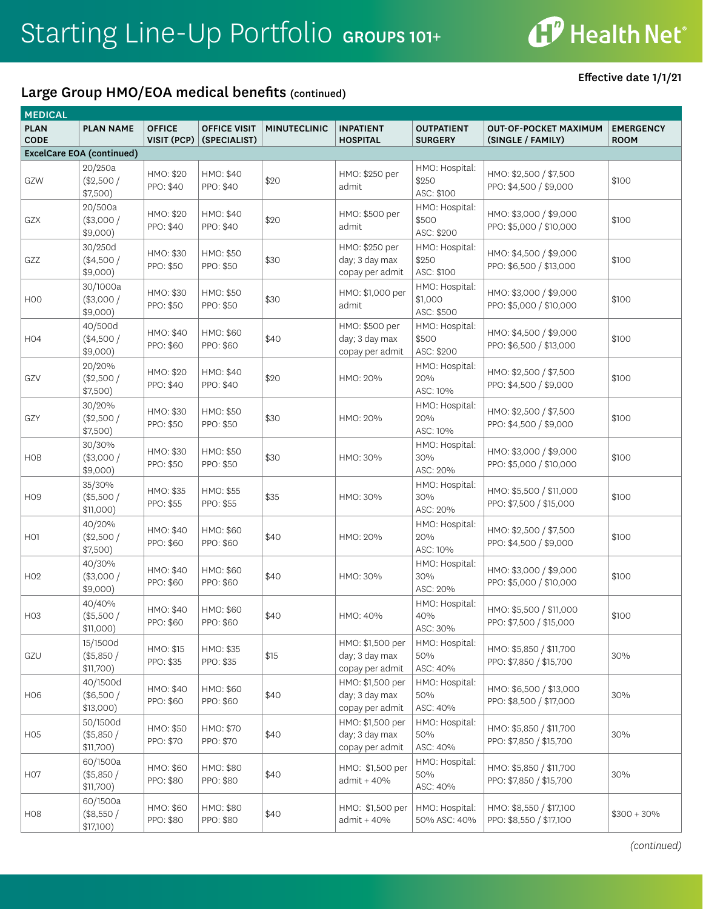### Large Group HMO/EOA medical benefits (continued)

Effective date 1/1/21

| <b>MEDICAL</b>             |                                      |                              |                                     |                     |                                                       |                                         |                                                    |                                 |
|----------------------------|--------------------------------------|------------------------------|-------------------------------------|---------------------|-------------------------------------------------------|-----------------------------------------|----------------------------------------------------|---------------------------------|
| <b>PLAN</b><br><b>CODE</b> | <b>PLAN NAME</b>                     | <b>OFFICE</b><br>VISIT (PCP) | <b>OFFICE VISIT</b><br>(SPECIALIST) | <b>MINUTECLINIC</b> | <b>INPATIENT</b><br><b>HOSPITAL</b>                   | <b>OUTPATIENT</b><br><b>SURGERY</b>     | <b>OUT-OF-POCKET MAXIMUM</b><br>(SINGLE / FAMILY)  | <b>EMERGENCY</b><br><b>ROOM</b> |
|                            | ExcelCare EOA (continued)            |                              |                                     |                     |                                                       |                                         |                                                    |                                 |
| GZW                        | 20/250a<br>(\$2,500/<br>\$7,500)     | HMO: \$20<br>PPO: \$40       | HMO: \$40<br>PPO: \$40              | \$20                | HMO: \$250 per<br>admit                               | HMO: Hospital:<br>\$250<br>ASC: \$100   | HMO: \$2,500 / \$7,500<br>PPO: \$4,500 / \$9,000   | \$100                           |
| GZX                        | 20/500a<br>$(*3,000/$<br>\$9,000)    | HMO: \$20<br>PPO: \$40       | HMO: \$40<br>PPO: \$40              | \$20                | HMO: \$500 per<br>admit                               | HMO: Hospital:<br>\$500<br>ASC: \$200   | HMO: \$3,000 / \$9,000<br>PPO: \$5,000 / \$10,000  | \$100                           |
| GZZ                        | 30/250d<br>(\$4,500/<br>\$9,000)     | HMO: \$30<br>PPO: \$50       | HMO: \$50<br>PPO: \$50              | \$30                | HMO: \$250 per<br>day; 3 day max<br>copay per admit   | HMO: Hospital:<br>\$250<br>ASC: \$100   | HMO: \$4,500 / \$9,000<br>PPO: \$6,500 / \$13,000  | \$100                           |
| H <sub>0</sub>             | 30/1000a<br>$(*3,000/$<br>$$9,000$ ) | HMO: \$30<br>PPO: \$50       | HMO: \$50<br>PPO: \$50              | \$30                | HMO: \$1,000 per<br>admit                             | HMO: Hospital:<br>\$1,000<br>ASC: \$500 | HMO: \$3,000 / \$9,000<br>PPO: \$5,000 / \$10,000  | \$100                           |
| H04                        | 40/500d<br>(\$4,500/<br>\$9,000)     | HMO: \$40<br>PPO: \$60       | HMO: \$60<br>PPO: \$60              | \$40                | HMO: \$500 per<br>day; 3 day max<br>copay per admit   | HMO: Hospital:<br>\$500<br>ASC: \$200   | HMO: \$4,500 / \$9,000<br>PPO: \$6,500 / \$13,000  | \$100                           |
| GZV                        | 20/20%<br>$(*2,500/$<br>\$7,500)     | HMO: \$20<br>PPO: \$40       | HMO: \$40<br>PPO: \$40              | \$20                | HMO: 20%                                              | HMO: Hospital:<br>20%<br>ASC: 10%       | HMO: \$2,500 / \$7,500<br>PPO: \$4,500 / \$9,000   | \$100                           |
| GZY                        | 30/20%<br>$(*2,500/$<br>\$7,500)     | HMO: \$30<br>PPO: \$50       | HMO: \$50<br>PPO: \$50              | \$30                | HMO: 20%                                              | HMO: Hospital:<br>20%<br>ASC: 10%       | HMO: \$2,500 / \$7,500<br>PPO: \$4,500 / \$9,000   | \$100                           |
| <b>HOB</b>                 | 30/30%<br>$(*3,000/$<br>\$9,000)     | HMO: \$30<br>PPO: \$50       | HMO: \$50<br>PPO: \$50              | \$30                | HMO: 30%                                              | HMO: Hospital:<br>30%<br>ASC: 20%       | HMO: \$3,000 / \$9,000<br>PPO: \$5,000 / \$10,000  | \$100                           |
| H <sub>09</sub>            | 35/30%<br>(\$5,500/<br>\$11,000)     | HMO: \$35<br>PPO: \$55       | HMO: \$55<br>PPO: \$55              | \$35                | HMO: 30%                                              | HMO: Hospital:<br>30%<br>ASC: 20%       | HMO: \$5,500 / \$11,000<br>PPO: \$7,500 / \$15,000 | \$100                           |
| H <sub>O</sub> 1           | 40/20%<br>$(*2,500/$<br>\$7,500)     | HMO: \$40<br>PPO: \$60       | HMO: \$60<br>PPO: \$60              | \$40                | HMO: 20%                                              | HMO: Hospital:<br>20%<br>ASC: 10%       | HMO: \$2,500 / \$7,500<br>PPO: \$4,500 / \$9,000   | \$100                           |
| H <sub>02</sub>            | 40/30%<br>$(*3,000/$<br>\$9,000)     | HMO: \$40<br>PPO: \$60       | HMO: \$60<br>PPO: \$60              | \$40                | HMO: 30%                                              | HMO: Hospital:<br>30%<br>ASC: 20%       | HMO: \$3,000 / \$9,000<br>PPO: \$5,000 / \$10,000  | \$100                           |
| H <sub>03</sub>            | 40/40%<br>(\$5,500/<br>\$11,000)     | HMO: \$40<br>PPO: \$60       | HMO: \$60<br>PPO: \$60              | \$40                | HMO: 40%                                              | HMO: Hospital:<br>40%<br>ASC: 30%       | HMO: \$5,500 / \$11,000<br>PPO: \$7,500 / \$15,000 | \$100                           |
| GZU                        | 15/1500d<br>(\$5,850/<br>\$11,700)   | HMO: \$15<br>PPO: \$35       | HMO: \$35<br>PPO: \$35              | \$15                | HMO: \$1,500 per<br>day; 3 day max<br>copay per admit | HMO: Hospital:<br>50%<br>ASC: 40%       | HMO: \$5,850 / \$11,700<br>PPO: \$7,850 / \$15,700 | 30%                             |
| <b>H06</b>                 | 40/1500d<br>(\$6,500/<br>$$13,000$ ) | HMO: \$40<br>PPO: \$60       | HMO: \$60<br>PPO: \$60              | \$40                | HMO: \$1,500 per<br>day; 3 day max<br>copay per admit | HMO: Hospital:<br>50%<br>ASC: 40%       | HMO: \$6,500 / \$13,000<br>PPO: \$8,500 / \$17,000 | 30%                             |
| H <sub>0</sub> 5           | 50/1500d<br>(\$5,850/<br>\$11,700)   | HMO: \$50<br>PPO: \$70       | HMO: \$70<br>PPO: \$70              | \$40                | HMO: \$1,500 per<br>day; 3 day max<br>copay per admit | HMO: Hospital:<br>50%<br>ASC: 40%       | HMO: \$5,850 / \$11,700<br>PPO: \$7,850 / \$15,700 | 30%                             |
| H <sub>O</sub>             | 60/1500a<br>(\$5,850/<br>\$11,700)   | HMO: \$60<br>PPO: \$80       | HMO: \$80<br>PPO: \$80              | \$40                | HMO: \$1,500 per<br>admit + 40%                       | HMO: Hospital:<br>50%<br>ASC: 40%       | HMO: \$5,850 / \$11,700<br>PPO: \$7,850 / \$15,700 | 30%                             |
| H08                        | 60/1500a<br>(\$8,550/<br>\$17,100)   | HMO: \$60<br>PPO: \$80       | HMO: \$80<br>PPO: \$80              | \$40                | HMO: \$1,500 per<br>$admit + 40%$                     | HMO: Hospital:<br>50% ASC: 40%          | HMO: \$8,550 / \$17,100<br>PPO: \$8,550 / \$17,100 | $$300 + 30\%$                   |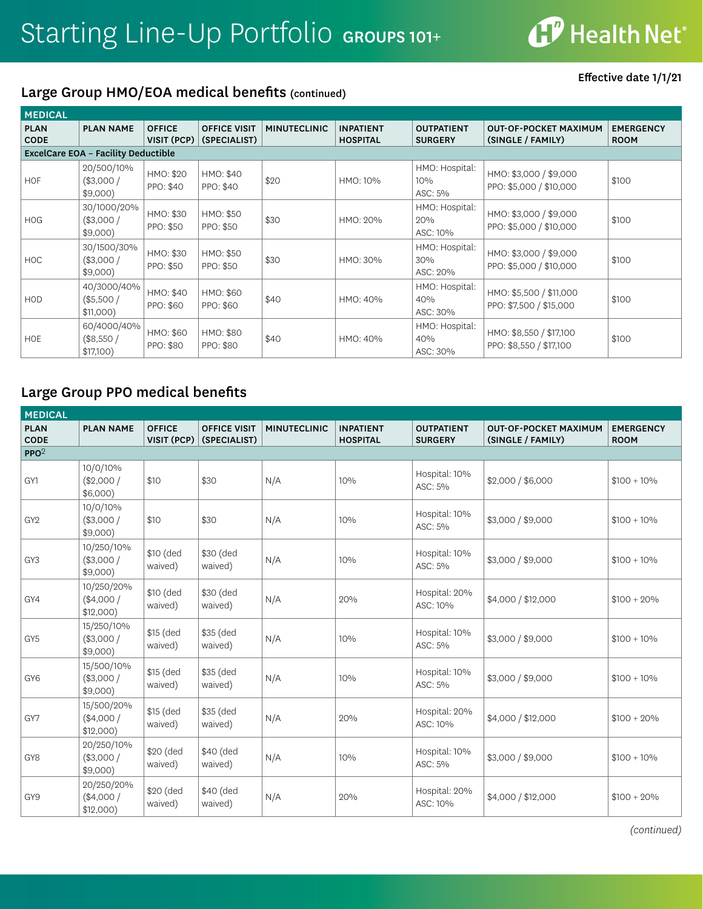#### Large Group HMO/EOA medical benefits (continued)

Effective date 1/1/21

| <b>MEDICAL</b>             |                                            |                                |                                     |                     |                                     |                                     |                                                    |                                 |  |  |  |
|----------------------------|--------------------------------------------|--------------------------------|-------------------------------------|---------------------|-------------------------------------|-------------------------------------|----------------------------------------------------|---------------------------------|--|--|--|
| <b>PLAN</b><br><b>CODE</b> | <b>PLAN NAME</b>                           | <b>OFFICE</b><br>$VISIT$ (PCP) | <b>OFFICE VISIT</b><br>(SPECIALIST) | <b>MINUTECLINIC</b> | <b>INPATIENT</b><br><b>HOSPITAL</b> | <b>OUTPATIENT</b><br><b>SURGERY</b> | <b>OUT-OF-POCKET MAXIMUM</b><br>(SINGLE / FAMILY)  | <b>EMERGENCY</b><br><b>ROOM</b> |  |  |  |
|                            | <b>ExcelCare EOA - Facility Deductible</b> |                                |                                     |                     |                                     |                                     |                                                    |                                 |  |  |  |
| <b>HOF</b>                 | 20/500/10%<br>(\$3,000/<br>$$9,000$ )      | HMO: \$20<br>PPO: \$40         | HMO: \$40<br>PPO: \$40              | \$20                | HMO: 10%                            | HMO: Hospital:<br>10%<br>ASC: 5%    | HMO: \$3,000 / \$9,000<br>PPO: \$5,000 / \$10,000  | \$100                           |  |  |  |
| <b>HOG</b>                 | 30/1000/20%<br>(\$3,000/<br>$$9,000$ )     | HMO: \$30<br>PPO: \$50         | HMO: \$50<br>PPO: \$50              | \$30                | HMO: 20%                            | HMO: Hospital:<br>20%<br>ASC: 10%   | HMO: \$3,000 / \$9,000<br>PPO: \$5,000 / \$10,000  | \$100                           |  |  |  |
| <b>HOC</b>                 | 30/1500/30%<br>(\$3,000/<br>$$9,000$ )     | HMO: \$30<br>PPO: \$50         | HMO: \$50<br>PPO: \$50              | \$30                | HMO: 30%                            | HMO: Hospital:<br>30%<br>ASC: 20%   | HMO: \$3,000 / \$9,000<br>PPO: \$5,000 / \$10,000  | \$100                           |  |  |  |
| <b>HOD</b>                 | 40/3000/40%<br>(\$5,500/<br>$$11,000$ )    | HMO: \$40<br>PPO: \$60         | HMO: \$60<br>PPO: \$60              | \$40                | HMO: 40%                            | HMO: Hospital:<br>40%<br>ASC: 30%   | HMO: \$5,500 / \$11,000<br>PPO: \$7,500 / \$15,000 | \$100                           |  |  |  |
| <b>HOE</b>                 | 60/4000/40%<br>(\$8,550/<br>\$17,100)      | HMO: \$60<br>PPO: \$80         | HMO: \$80<br>PPO: \$80              | \$40                | HMO: 40%                            | HMO: Hospital:<br>40%<br>ASC: 30%   | HMO: \$8,550 / \$17,100<br>PPO: \$8,550 / \$17,100 | \$100                           |  |  |  |

## Large Group PPO medical benefits

| <b>MEDICAL</b>             |                                         |                              |                                     |                     |                                     |                                     |                                                   |                                 |
|----------------------------|-----------------------------------------|------------------------------|-------------------------------------|---------------------|-------------------------------------|-------------------------------------|---------------------------------------------------|---------------------------------|
| <b>PLAN</b><br><b>CODE</b> | <b>PLAN NAME</b>                        | <b>OFFICE</b><br>VISIT (PCP) | <b>OFFICE VISIT</b><br>(SPECIALIST) | <b>MINUTECLINIC</b> | <b>INPATIENT</b><br><b>HOSPITAL</b> | <b>OUTPATIENT</b><br><b>SURGERY</b> | <b>OUT-OF-POCKET MAXIMUM</b><br>(SINGLE / FAMILY) | <b>EMERGENCY</b><br><b>ROOM</b> |
| PPO <sup>2</sup>           |                                         |                              |                                     |                     |                                     |                                     |                                                   |                                 |
| GY1                        | 10/0/10%<br>$(*2,000/$<br>$$6,000$ )    | \$10                         | \$30                                | N/A                 | 10%                                 | Hospital: 10%<br>ASC: 5%            | \$2,000 / \$6,000                                 | $$100 + 10\%$                   |
| GY <sub>2</sub>            | 10/0/10%<br>(\$3,000/<br>$$9,000$ )     | \$10                         | \$30                                | N/A                 | 10%                                 | Hospital: 10%<br>ASC: 5%            | \$3,000 / \$9,000                                 | $$100 + 10\%$                   |
| GY <sub>3</sub>            | 10/250/10%<br>(\$3,000/<br>$$9,000$ )   | \$10 (ded<br>waived)         | \$30 (ded<br>waived)                | N/A                 | 10%                                 | Hospital: 10%<br>ASC: 5%            | \$3,000 / \$9,000                                 | $$100 + 10\%$                   |
| GY4                        | 10/250/20%<br>$(*4,000/$<br>$$12,000$ ) | \$10 (ded<br>waived)         | \$30 (ded<br>waived)                | N/A                 | 20%                                 | Hospital: 20%<br>ASC: 10%           | \$4,000 / \$12,000                                | $$100 + 20\%$                   |
| GY5                        | 15/250/10%<br>(\$3,000/<br>$$9,000$ )   | \$15 (ded<br>waived)         | \$35 (ded<br>waived)                | N/A                 | 10%                                 | Hospital: 10%<br>ASC: 5%            | \$3,000 / \$9,000                                 | $$100 + 10\%$                   |
| GY <sub>6</sub>            | 15/500/10%<br>(\$3,000/<br>$$9,000$ )   | \$15 (ded<br>waived)         | \$35 (ded<br>waived)                | N/A                 | 10%                                 | Hospital: 10%<br>ASC: 5%            | \$3,000 / \$9,000                                 | $$100 + 10\%$                   |
| GY7                        | 15/500/20%<br>$(*4,000/$<br>$$12,000$ ) | \$15 (ded<br>waived)         | \$35 (ded<br>waived)                | N/A                 | 20%                                 | Hospital: 20%<br>ASC: 10%           | \$4,000 / \$12,000                                | $$100 + 20\%$                   |
| GY8                        | 20/250/10%<br>(\$3,000/<br>$$9,000$ )   | \$20 (ded<br>waived)         | \$40 (ded<br>waived)                | N/A                 | 10%                                 | Hospital: 10%<br>ASC: 5%            | \$3,000 / \$9,000                                 | $$100 + 10\%$                   |
| GY9                        | 20/250/20%<br>$(*4,000/$<br>$$12,000$ ) | \$20 (ded<br>waived)         | \$40 (ded<br>waived)                | N/A                 | 20%                                 | Hospital: 20%<br>ASC: 10%           | \$4,000 / \$12,000                                | $$100 + 20\%$                   |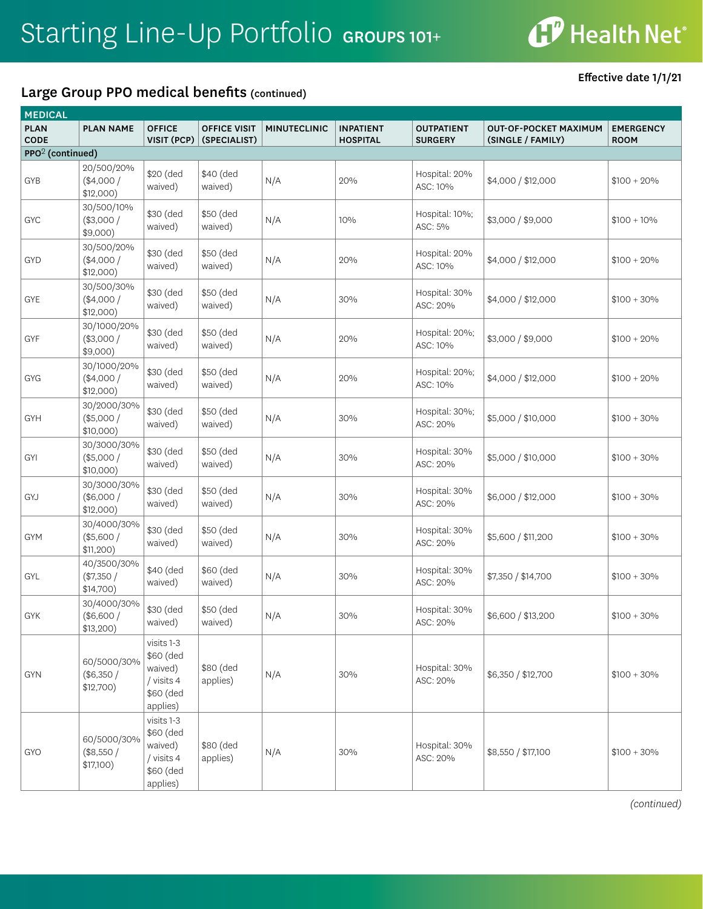#### Large Group PPO medical benefits (continued)

Effective date 1/1/21

| <b>MEDICAL</b>               |                                        |                                                                           |                                     |                     |                                     |                                     |                                                   |                                 |
|------------------------------|----------------------------------------|---------------------------------------------------------------------------|-------------------------------------|---------------------|-------------------------------------|-------------------------------------|---------------------------------------------------|---------------------------------|
| <b>PLAN</b><br>CODE          | <b>PLAN NAME</b>                       | <b>OFFICE</b><br>VISIT (PCP)                                              | <b>OFFICE VISIT</b><br>(SPECIALIST) | <b>MINUTECLINIC</b> | <b>INPATIENT</b><br><b>HOSPITAL</b> | <b>OUTPATIENT</b><br><b>SURGERY</b> | <b>OUT-OF-POCKET MAXIMUM</b><br>(SINGLE / FAMILY) | <b>EMERGENCY</b><br><b>ROOM</b> |
| PPO <sup>2</sup> (continued) |                                        |                                                                           |                                     |                     |                                     |                                     |                                                   |                                 |
| GYB                          | 20/500/20%<br>(\$4,000/<br>\$12,000)   | \$20 (ded<br>waived)                                                      | \$40 (ded<br>waived)                | N/A                 | 20%                                 | Hospital: 20%<br>ASC: 10%           | \$4,000 / \$12,000                                | $$100 + 20\%$                   |
| GYC                          | 30/500/10%<br>$(*3,000/$<br>$$9,000$ ) | \$30 (ded<br>waived)                                                      | \$50 (ded<br>waived)                | N/A                 | 10%                                 | Hospital: 10%;<br>ASC: 5%           | \$3,000 / \$9,000                                 | $$100 + 10\%$                   |
| <b>GYD</b>                   | 30/500/20%<br>$(*4,000/$<br>\$12,000)  | \$30 (ded<br>waived)                                                      | \$50 (ded<br>waived)                | N/A                 | 20%                                 | Hospital: 20%<br>ASC: 10%           | \$4,000 / \$12,000                                | $$100 + 20\%$                   |
| GYE                          | 30/500/30%<br>$(*4,000/$<br>\$12,000)  | \$30 (ded<br>waived)                                                      | \$50 (ded<br>waived)                | N/A                 | 30%                                 | Hospital: 30%<br>ASC: 20%           | \$4,000 / \$12,000                                | $$100 + 30\%$                   |
| GYF                          | 30/1000/20%<br>$(*3,000/$<br>\$9,000)  | \$30 (ded<br>waived)                                                      | \$50 (ded<br>waived)                | N/A                 | 20%                                 | Hospital: 20%;<br>ASC: 10%          | \$3,000 / \$9,000                                 | $$100 + 20\%$                   |
| GYG                          | 30/1000/20%<br>$(*4,000/$<br>\$12,000) | \$30 (ded<br>waived)                                                      | \$50 (ded<br>waived)                | N/A                 | 20%                                 | Hospital: 20%;<br>ASC: 10%          | \$4,000 / \$12,000                                | $$100 + 20\%$                   |
| GYH                          | 30/2000/30%<br>$(*5,000/$<br>\$10,000) | \$30 (ded<br>waived)                                                      | \$50 (ded<br>waived)                | N/A                 | 30%                                 | Hospital: 30%;<br>ASC: 20%          | \$5,000 / \$10,000                                | $$100 + 30\%$                   |
| <b>GYI</b>                   | 30/3000/30%<br>$(*5,000/$<br>\$10,000) | \$30 (ded<br>waived)                                                      | \$50 (ded<br>waived)                | N/A                 | 30%                                 | Hospital: 30%<br>ASC: 20%           | \$5,000 / \$10,000                                | $$100 + 30\%$                   |
| GYJ                          | 30/3000/30%<br>(\$6,000/<br>\$12,000)  | \$30 (ded<br>waived)                                                      | \$50 (ded<br>waived)                | N/A                 | 30%                                 | Hospital: 30%<br>ASC: 20%           | \$6,000 / \$12,000                                | $$100 + 30\%$                   |
| <b>GYM</b>                   | 30/4000/30%<br>$(*5,600/$<br>\$11,200) | \$30 (ded<br>waived)                                                      | \$50 (ded<br>waived)                | N/A                 | 30%                                 | Hospital: 30%<br>ASC: 20%           | \$5,600 / \$11,200                                | $$100 + 30\%$                   |
| GYL                          | 40/3500/30%<br>$(*7,350/$<br>\$14,700) | \$40 (ded<br>waived)                                                      | \$60 (ded<br>waived)                | N/A                 | 30%                                 | Hospital: 30%<br>ASC: 20%           | \$7,350 / \$14,700                                | $$100 + 30\%$                   |
| <b>GYK</b>                   | 30/4000/30%<br>(\$6,600/<br>\$13,200)  | \$30 (ded<br>waived)                                                      | \$50 (ded<br>waived)                | N/A                 | 30%                                 | Hospital: 30%<br>ASC: 20%           | \$6,600 / \$13,200                                | $$100 + 30\%$                   |
| <b>GYN</b>                   | 60/5000/30%<br>(\$6,350/<br>\$12,700)  | visits 1-3<br>\$60 (ded<br>waived)<br>/ visits 4<br>\$60 (ded<br>applies) | \$80 (ded<br>applies)               | N/A                 | 30%                                 | Hospital: 30%<br>ASC: 20%           | \$6,350 / \$12,700                                | $$100 + 30\%$                   |
| <b>GYO</b>                   | 60/5000/30%<br>(\$8,550/<br>\$17,100)  | visits 1-3<br>\$60 (ded<br>waived)<br>/ visits 4<br>\$60 (ded<br>applies) | \$80 (ded<br>applies)               | N/A                 | 30%                                 | Hospital: 30%<br>ASC: 20%           | \$8,550 / \$17,100                                | $$100 + 30\%$                   |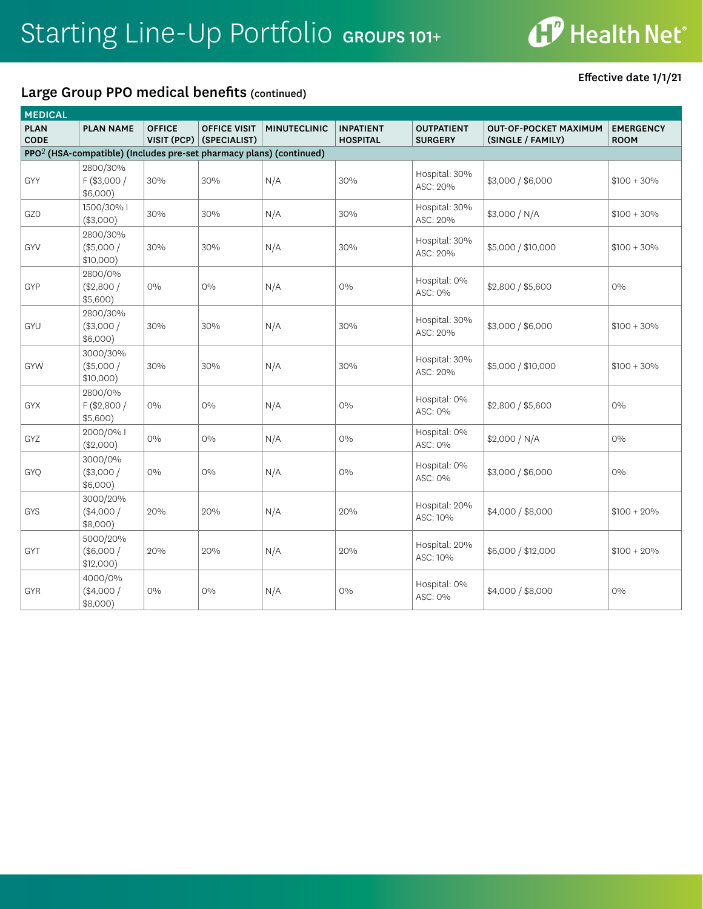# **CP** Health Net®

### Large Group PPO medical benefits (continued)

Effective date 1/1/21

| <b>MEDICAL</b>             |                                                                                 |                              |                                     |                     |                                     |                                     |                                                   |                                 |
|----------------------------|---------------------------------------------------------------------------------|------------------------------|-------------------------------------|---------------------|-------------------------------------|-------------------------------------|---------------------------------------------------|---------------------------------|
| <b>PLAN</b><br><b>CODE</b> | <b>PLAN NAME</b>                                                                | <b>OFFICE</b><br>VISIT (PCP) | <b>OFFICE VISIT</b><br>(SPECIALIST) | <b>MINUTECLINIC</b> | <b>INPATIENT</b><br><b>HOSPITAL</b> | <b>OUTPATIENT</b><br><b>SURGERY</b> | <b>OUT-OF-POCKET MAXIMUM</b><br>(SINGLE / FAMILY) | <b>EMERGENCY</b><br><b>ROOM</b> |
|                            | PPO <sup>2</sup> (HSA-compatible) (Includes pre-set pharmacy plans) (continued) |                              |                                     |                     |                                     |                                     |                                                   |                                 |
| GYY                        | 2800/30%<br>$F$ (\$3,000 /<br>$$6,000$ )                                        | 30%                          | 30%                                 | N/A                 | 30%                                 | Hospital: 30%<br>ASC: 20%           | \$3,000 / \$6,000                                 | $$100 + 30\%$                   |
| GZ0                        | 1500/30% I<br>(\$3,000)                                                         | 30%                          | 30%                                 | N/A                 | 30%                                 | Hospital: 30%<br>ASC: 20%           | \$3,000 / N/A                                     | $$100 + 30\%$                   |
| GYV                        | 2800/30%<br>(\$5,000/<br>\$10,000)                                              | 30%                          | 30%                                 | N/A                 | 30%                                 | Hospital: 30%<br>ASC: 20%           | \$5,000 / \$10,000                                | $$100 + 30\%$                   |
| GYP                        | 2800/0%<br>(\$2,800/<br>\$5,600)                                                | $0\%$                        | $O\%$                               | N/A                 | 0%                                  | Hospital: 0%<br>ASC: 0%             | \$2,800 / \$5,600                                 | $0\%$                           |
| GYU                        | 2800/30%<br>$(*3,000/$<br>$$6,000$ )                                            | 30%                          | 30%                                 | N/A                 | 30%                                 | Hospital: 30%<br>ASC: 20%           | \$3,000 / \$6,000                                 | $$100 + 30\%$                   |
| <b>GYW</b>                 | 3000/30%<br>(\$5,000/<br>$$10,000$ )                                            | 30%                          | 30%                                 | N/A                 | 30%                                 | Hospital: 30%<br>ASC: 20%           | \$5,000 / \$10,000                                | $$100 + 30\%$                   |
| <b>GYX</b>                 | 2800/0%<br>F (\$2,800 /<br>\$5,600)                                             | $0\%$                        | $0\%$                               | N/A                 | $0\%$                               | Hospital: 0%<br>ASC: 0%             | \$2,800 / \$5,600                                 | $O\%$                           |
| GYZ                        | 2000/0% I<br>(\$2,000)                                                          | $0\%$                        | $O\%$                               | N/A                 | $O\%$                               | Hospital: 0%<br>ASC: 0%             | \$2,000 / N/A                                     | $0\%$                           |
| GYQ                        | 3000/0%<br>$(*3,000/$<br>\$6,000)                                               | $O\%$                        | $O\%$                               | N/A                 | $O\%$                               | Hospital: 0%<br>ASC: 0%             | \$3,000 / \$6,000                                 | $O\%$                           |
| GYS                        | 3000/20%<br>$(*4,000/$<br>$$8,000$ )                                            | 20%                          | 20%                                 | N/A                 | 20%                                 | Hospital: 20%<br>ASC: 10%           | \$4,000 / \$8,000                                 | $$100 + 20\%$                   |
| <b>GYT</b>                 | 5000/20%<br>(\$6,000/<br>$$12,000$ )                                            | 20%                          | 20%                                 | N/A                 | 20%                                 | Hospital: 20%<br>ASC: 10%           | \$6,000 / \$12,000                                | $$100 + 20\%$                   |
| <b>GYR</b>                 | 4000/0%<br>(\$4,000/<br>$$8,000$ )                                              | $0\%$                        | 0%                                  | N/A                 | $0\%$                               | Hospital: 0%<br>ASC: 0%             | \$4,000 / \$8,000                                 | $0\%$                           |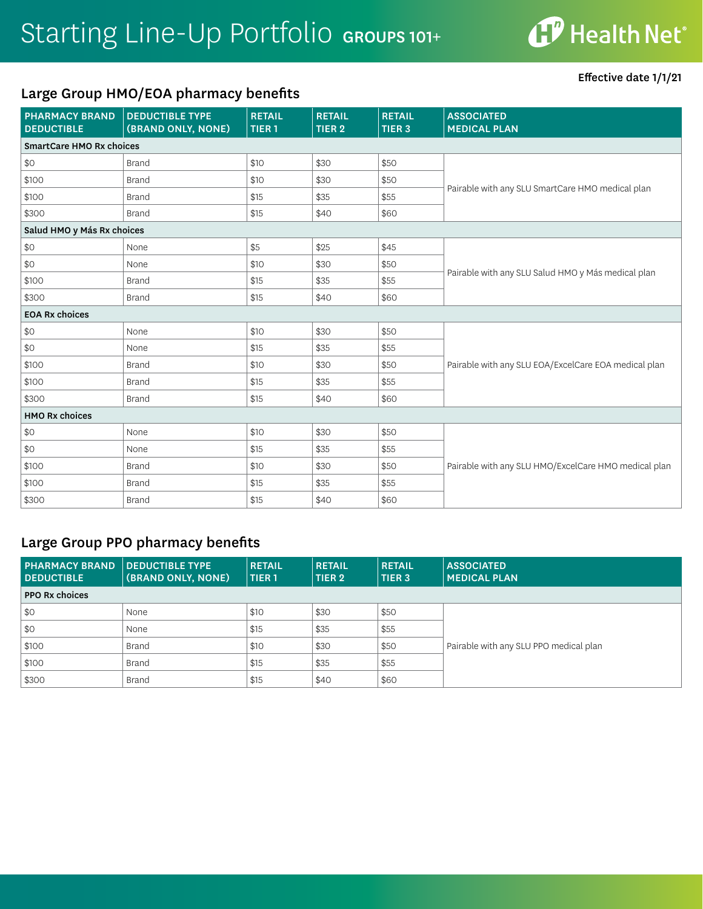#### Large Group HMO/EOA pharmacy benefits

Effective date 1/1/21

| <b>PHARMACY BRAND</b><br><b>DEDUCTIBLE</b> | <b>DEDUCTIBLE TYPE</b><br>(BRAND ONLY, NONE) | <b>RETAIL</b><br>TIER <sub>1</sub> | <b>RETAIL</b><br>TIER <sub>2</sub> | <b>RETAIL</b><br>TIER <sub>3</sub> | <b>ASSOCIATED</b><br><b>MEDICAL PLAN</b>             |  |  |
|--------------------------------------------|----------------------------------------------|------------------------------------|------------------------------------|------------------------------------|------------------------------------------------------|--|--|
| SmartCare HMO Rx choices                   |                                              |                                    |                                    |                                    |                                                      |  |  |
| \$0                                        | <b>Brand</b>                                 | \$10                               | \$30                               | \$50                               |                                                      |  |  |
| \$100                                      | <b>Brand</b>                                 | \$10                               | \$30                               | \$50                               | Pairable with any SLU SmartCare HMO medical plan     |  |  |
| \$100                                      | <b>Brand</b>                                 | \$15                               | \$35                               | \$55                               |                                                      |  |  |
| \$300                                      | <b>Brand</b>                                 | \$15                               | \$40                               | \$60                               |                                                      |  |  |
| Salud HMO y Más Rx choices                 |                                              |                                    |                                    |                                    |                                                      |  |  |
| \$0                                        | None                                         | \$5                                | \$25                               | \$45                               |                                                      |  |  |
| \$0                                        | None                                         | \$10                               | \$30                               | \$50                               |                                                      |  |  |
| \$100                                      | <b>Brand</b>                                 | \$15                               | \$35                               | \$55                               | Pairable with any SLU Salud HMO y Más medical plan   |  |  |
| \$300                                      | <b>Brand</b>                                 | \$15                               | \$40                               | \$60                               |                                                      |  |  |
| <b>EOA Rx choices</b>                      |                                              |                                    |                                    |                                    |                                                      |  |  |
| \$0                                        | None                                         | \$10                               | \$30                               | \$50                               |                                                      |  |  |
| \$0                                        | None                                         | \$15                               | \$35                               | \$55                               |                                                      |  |  |
| \$100                                      | <b>Brand</b>                                 | \$10                               | \$30                               | \$50                               | Pairable with any SLU EOA/ExcelCare EOA medical plan |  |  |
| \$100                                      | <b>Brand</b>                                 | \$15                               | \$35                               | \$55                               |                                                      |  |  |
| \$300                                      | <b>Brand</b>                                 | \$15                               | \$40                               | \$60                               |                                                      |  |  |
| <b>HMO Rx choices</b>                      |                                              |                                    |                                    |                                    |                                                      |  |  |
| \$0                                        | None                                         | \$10                               | \$30                               | \$50                               |                                                      |  |  |
| \$0                                        | None                                         | \$15                               | \$35                               | \$55                               |                                                      |  |  |
| \$100                                      | <b>Brand</b>                                 | \$10                               | \$30                               | \$50                               | Pairable with any SLU HMO/ExcelCare HMO medical plan |  |  |
| \$100                                      | <b>Brand</b>                                 | \$15                               | \$35                               | \$55                               |                                                      |  |  |
| \$300                                      | <b>Brand</b>                                 | \$15                               | \$40                               | \$60                               |                                                      |  |  |

#### Large Group PPO pharmacy benefits

| <b>PHARMACY BRAND</b><br><b>DEDUCTIBLE</b> | DEDUCTIBLE TYPE<br>(BRAND ONLY, NONE) |      | <b>RETAIL</b><br>TIER 2 | <b>RETAIL</b><br>TIER <sub>3</sub> | <b>ASSOCIATED</b><br><b>MEDICAL PLAN</b> |
|--------------------------------------------|---------------------------------------|------|-------------------------|------------------------------------|------------------------------------------|
| <b>PPO Rx choices</b>                      |                                       |      |                         |                                    |                                          |
| \$0                                        | None                                  | \$10 | \$30                    | \$50                               |                                          |
| \$0                                        | None                                  | \$15 | \$35                    | \$55                               |                                          |
| \$100                                      | Brand                                 | \$10 | \$30                    | \$50                               | Pairable with any SLU PPO medical plan   |
| \$100                                      | Brand                                 | \$15 | \$35                    | \$55                               |                                          |
| \$300                                      | <b>Brand</b>                          | \$15 | \$40                    | \$60                               |                                          |